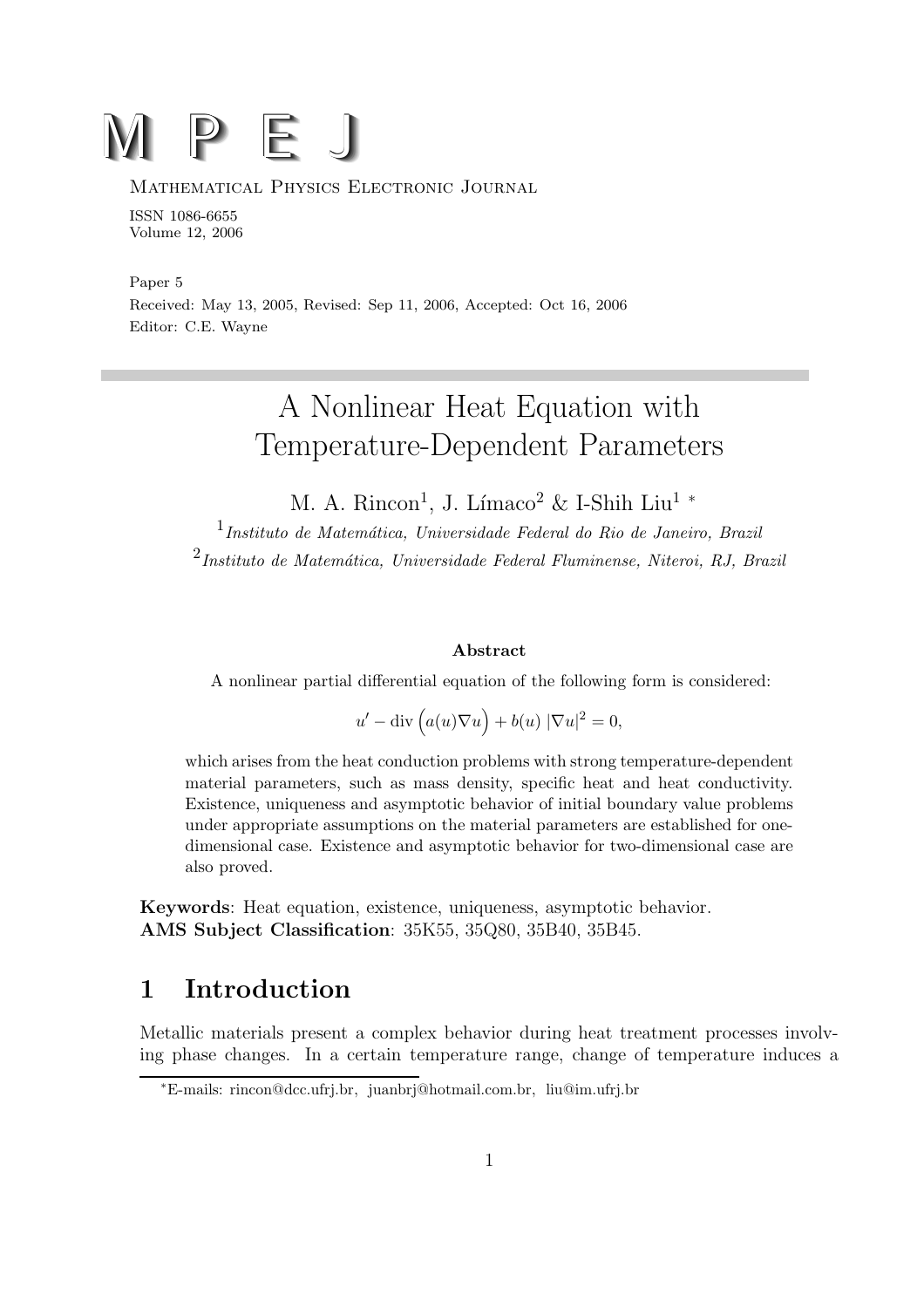# M P E J

#### Mathematical Physics Electronic Journal

ISSN 1086-6655 Volume 12, 2006

Paper 5 Received: May 13, 2005, Revised: Sep 11, 2006, Accepted: Oct 16, 2006 Editor: C.E. Wayne

## A Nonlinear Heat Equation with Temperature-Dependent Parameters

M. A. Rincon<sup>1</sup>, J. Límaco<sup>2</sup> & I-Shih Liu<sup>1</sup> \*

 $<sup>1</sup>$ Instituto de Matemática, Universidade Federal do Rio de Janeiro, Brazil</sup>  $^{2}$ Instituto de Matemática, Universidade Federal Fluminense, Niteroi, RJ, Brazil

#### Abstract

A nonlinear partial differential equation of the following form is considered:

$$
u' - \operatorname{div}\left(a(u)\nabla u\right) + b(u) |\nabla u|^2 = 0,
$$

which arises from the heat conduction problems with strong temperature-dependent material parameters, such as mass density, specific heat and heat conductivity. Existence, uniqueness and asymptotic behavior of initial boundary value problems under appropriate assumptions on the material parameters are established for onedimensional case. Existence and asymptotic behavior for two-dimensional case are also proved.

Keywords: Heat equation, existence, uniqueness, asymptotic behavior. AMS Subject Classification: 35K55, 35Q80, 35B40, 35B45.

## 1 Introduction

Metallic materials present a complex behavior during heat treatment processes involving phase changes. In a certain temperature range, change of temperature induces a

<sup>∗</sup>E-mails: rincon@dcc.ufrj.br, juanbrj@hotmail.com.br, liu@im.ufrj.br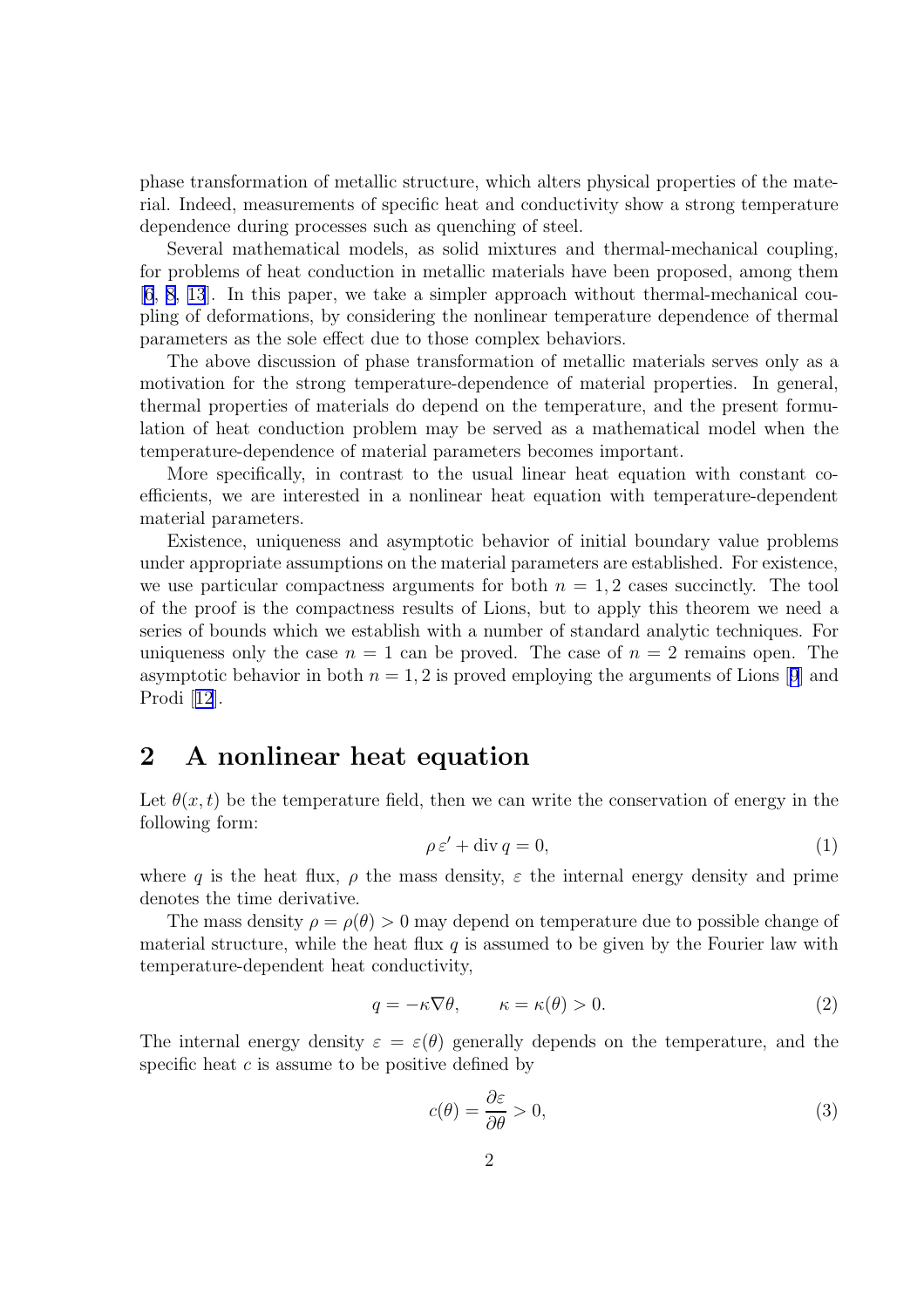<span id="page-1-0"></span>phase transformation of metallic structure, which alters physical properties of the material. Indeed, measurements of specific heat and conductivity show a strong temperature dependence during processes such as quenching of steel.

Several mathematical models, as solid mixtures and thermal-mechanical coupling, for problems of heat conduction in metallic materials have been proposed, among them [\[6](#page-20-0), [8, 13](#page-20-0)]. In this paper, we take a simpler approach without thermal-mechanical coupling of deformations, by considering the nonlinear temperature dependence of thermal parameters as the sole effect due to those complex behaviors.

The above discussion of phase transformation of metallic materials serves only as a motivation for the strong temperature-dependence of material properties. In general, thermal properties of materials do depend on the temperature, and the present formulation of heat conduction problem may be served as a mathematical model when the temperature-dependence of material parameters becomes important.

More specifically, in contrast to the usual linear heat equation with constant coefficients, we are interested in a nonlinear heat equation with temperature-dependent material parameters.

Existence, uniqueness and asymptotic behavior of initial boundary value problems under appropriate assumptions on the material parameters are established. For existence, we use particular compactness arguments for both  $n = 1, 2$  cases succinctly. The tool of the proof is the compactness results of Lions, but to apply this theorem we need a series of bounds which we establish with a number of standard analytic techniques. For uniqueness only the case  $n = 1$  can be proved. The case of  $n = 2$  remains open. The asymptotic behavior in both  $n = 1, 2$  is proved employing the arguments of Lions [[9](#page-20-0)] and Prodi [[12](#page-20-0)].

### 2 A nonlinear heat equation

Let  $\theta(x, t)$  be the temperature field, then we can write the conservation of energy in the following form:

$$
\rho \varepsilon' + \operatorname{div} q = 0,\tag{1}
$$

where q is the heat flux,  $\rho$  the mass density,  $\varepsilon$  the internal energy density and prime denotes the time derivative.

The mass density  $\rho = \rho(\theta) > 0$  may depend on temperature due to possible change of material structure, while the heat flux  $q$  is assumed to be given by the Fourier law with temperature-dependent heat conductivity,

$$
q = -\kappa \nabla \theta, \qquad \kappa = \kappa(\theta) > 0. \tag{2}
$$

The internal energy density  $\varepsilon = \varepsilon(\theta)$  generally depends on the temperature, and the specific heat  $c$  is assume to be positive defined by

$$
c(\theta) = \frac{\partial \varepsilon}{\partial \theta} > 0,\tag{3}
$$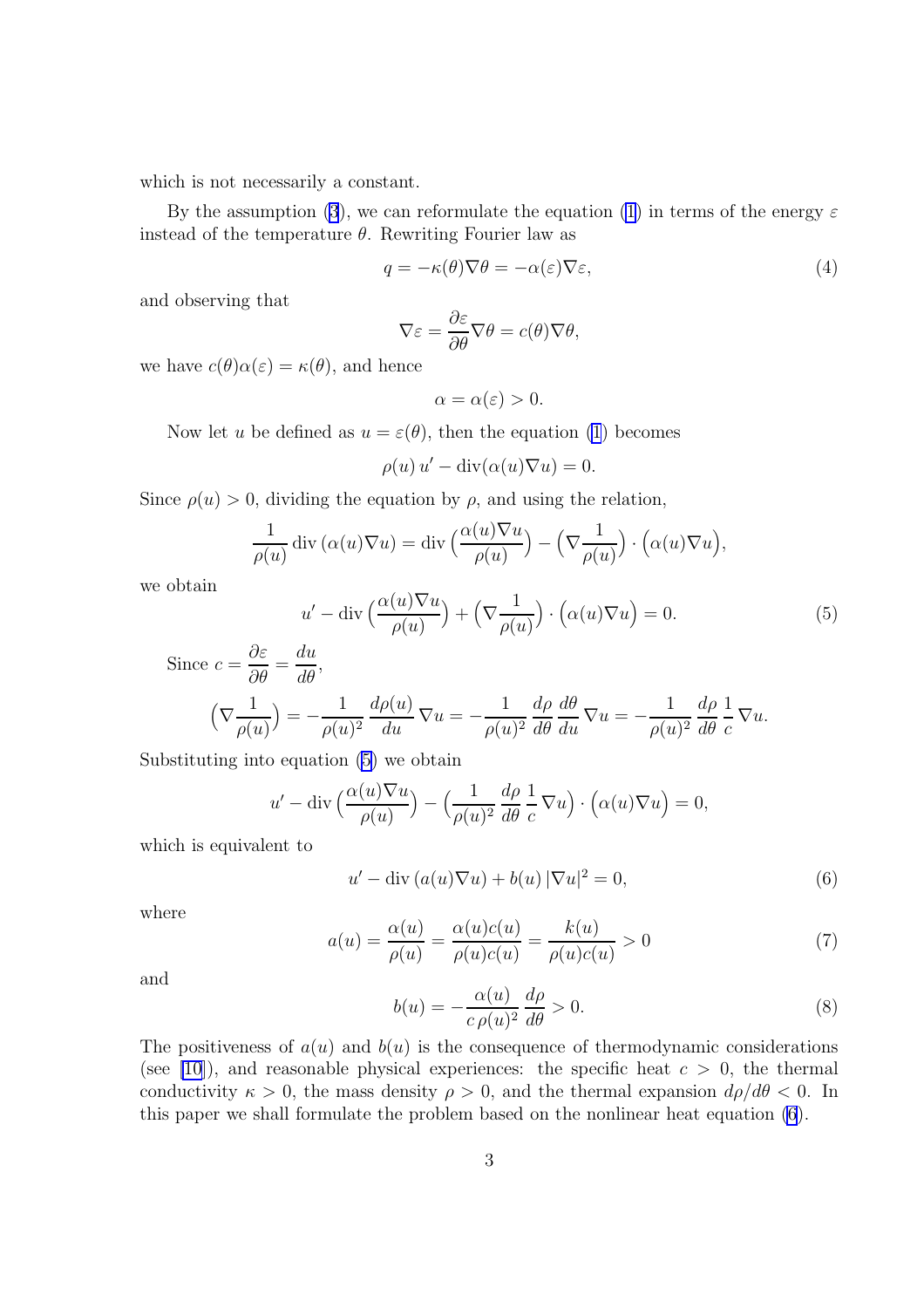which is not necessarily a constant.

By the assumption [\(3](#page-1-0)), we can reformulate the equation [\(1](#page-1-0)) in terms of the energy  $\varepsilon$ instead of the temperature  $\theta$ . Rewriting Fourier law as

$$
q = -\kappa(\theta)\nabla\theta = -\alpha(\varepsilon)\nabla\varepsilon,\tag{4}
$$

and observing that

$$
\nabla \varepsilon = \frac{\partial \varepsilon}{\partial \theta} \nabla \theta = c(\theta) \nabla \theta,
$$

we have  $c(\theta)\alpha(\varepsilon) = \kappa(\theta)$ , and hence

$$
\alpha = \alpha(\varepsilon) > 0.
$$

Now let u be defined as  $u = \varepsilon(\theta)$ , then the equation [\(1](#page-1-0)) becomes

$$
\rho(u) u' - \operatorname{div}(\alpha(u)\nabla u) = 0.
$$

Since  $\rho(u) > 0$ , dividing the equation by  $\rho$ , and using the relation,

$$
\frac{1}{\rho(u)} \operatorname{div} (\alpha(u)\nabla u) = \operatorname{div} \left(\frac{\alpha(u)\nabla u}{\rho(u)}\right) - \left(\nabla \frac{1}{\rho(u)}\right) \cdot \left(\alpha(u)\nabla u\right),
$$

we obtain

$$
u' - \operatorname{div}\left(\frac{\alpha(u)\nabla u}{\rho(u)}\right) + \left(\nabla \frac{1}{\rho(u)}\right) \cdot \left(\alpha(u)\nabla u\right) = 0. \tag{5}
$$

Since 
$$
c = \frac{\partial \varepsilon}{\partial \theta} = \frac{du}{d\theta}
$$
,  
\n
$$
\left(\nabla \frac{1}{\rho(u)}\right) = -\frac{1}{\rho(u)^2} \frac{d\rho(u)}{du} \nabla u = -\frac{1}{\rho(u)^2} \frac{d\rho}{d\theta} \frac{d\theta}{du} \nabla u = -\frac{1}{\rho(u)^2} \frac{d\rho}{d\theta} \frac{1}{c} \nabla u.
$$

Substituting into equation (5) we obtain

$$
u' - \operatorname{div}\left(\frac{\alpha(u)\nabla u}{\rho(u)}\right) - \left(\frac{1}{\rho(u)^2}\frac{d\rho}{d\theta}\frac{1}{c}\nabla u\right) \cdot \left(\alpha(u)\nabla u\right) = 0,
$$

which is equivalent to

$$
u' - \operatorname{div} (a(u)\nabla u) + b(u) |\nabla u|^2 = 0,
$$
\n(6)

where

$$
a(u) = \frac{\alpha(u)}{\rho(u)} = \frac{\alpha(u)c(u)}{\rho(u)c(u)} = \frac{k(u)}{\rho(u)c(u)} > 0
$$
 (7)

and

$$
b(u) = -\frac{\alpha(u)}{c \rho(u)^2} \frac{d\rho}{d\theta} > 0.
$$
\n(8)

The positiveness of  $a(u)$  and  $b(u)$  is the consequence of thermodynamic considerations (see [\[10\]](#page-20-0)), and reasonable physical experiences: the specific heat  $c > 0$ , the thermal conductivity  $\kappa > 0$ , the mass density  $\rho > 0$ , and the thermal expansion  $d\rho/d\theta < 0$ . In this paper we shall formulate the problem based on the nonlinear heat equation (6).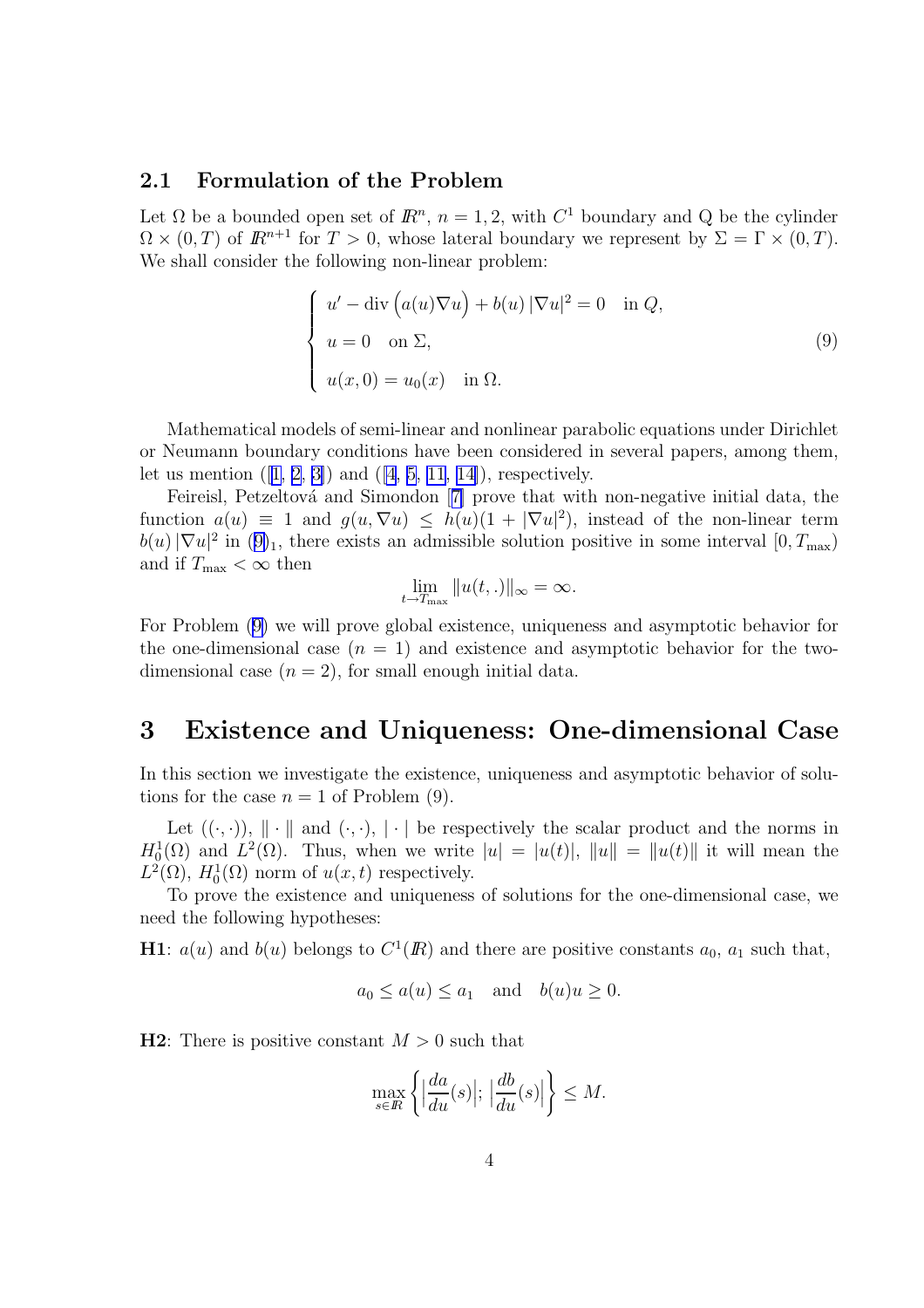#### <span id="page-3-0"></span>2.1 Formulation of the Problem

Let  $\Omega$  be a bounded open set of  $\mathbb{R}^n$ ,  $n = 1, 2$ , with  $C^1$  boundary and Q be the cylinder  $\Omega \times (0,T)$  of  $\mathbb{R}^{n+1}$  for  $T > 0$ , whose lateral boundary we represent by  $\Sigma = \Gamma \times (0,T)$ . We shall consider the following non-linear problem:

$$
\begin{cases}\n u' - \operatorname{div} (a(u)\nabla u) + b(u) |\nabla u|^2 = 0 & \text{in } Q, \\
 u = 0 & \text{on } \Sigma, \\
 u(x, 0) = u_0(x) & \text{in } \Omega.\n\end{cases}
$$
\n(9)

Mathematical models of semi-linear and nonlinear parabolic equations under Dirichlet or Neumann boundary conditions have been considered in several papers, among them, let us mention  $([1, 2, 3])$  $([1, 2, 3])$  $([1, 2, 3])$  and  $([4, 5, 11, 14])$  $([4, 5, 11, 14])$  $([4, 5, 11, 14])$  $([4, 5, 11, 14])$  $([4, 5, 11, 14])$ , respectively.

Feireisl, Petzeltová and Simondon [[7\]](#page-20-0) prove that with non-negative initial data, the function  $a(u) \equiv 1$  and  $g(u, \nabla u) \leq h(u)(1 + |\nabla u|^2)$ , instead of the non-linear term  $b(u)|\nabla u|^2$  in  $(9)_1$ , there exists an admissible solution positive in some interval  $[0, T_{\text{max}})$ and if  $T_{\text{max}} < \infty$  then

$$
\lim_{t \to T_{\text{max}}} ||u(t,.)||_{\infty} = \infty.
$$

For Problem (9) we will prove global existence, uniqueness and asymptotic behavior for the one-dimensional case  $(n = 1)$  and existence and asymptotic behavior for the twodimensional case  $(n = 2)$ , for small enough initial data.

## 3 Existence and Uniqueness: One-dimensional Case

In this section we investigate the existence, uniqueness and asymptotic behavior of solutions for the case  $n = 1$  of Problem (9).

Let  $((\cdot, \cdot))$ ,  $\|\cdot\|$  and  $(\cdot, \cdot)$ ,  $\|\cdot\|$  be respectively the scalar product and the norms in  $H_0^1(\Omega)$  and  $L^2(\Omega)$ . Thus, when we write  $|u| = |u(t)|$ ,  $||u|| = ||u(t)||$  it will mean the  $L^2(\Omega)$ ,  $H_0^1(\Omega)$  norm of  $u(x,t)$  respectively.

To prove the existence and uniqueness of solutions for the one-dimensional case, we need the following hypotheses:

**H1**:  $a(u)$  and  $b(u)$  belongs to  $C^1(\mathbb{R})$  and there are positive constants  $a_0$ ,  $a_1$  such that,

$$
a_0 \le a(u) \le a_1
$$
 and  $b(u)u \ge 0$ .

**H2**: There is positive constant  $M > 0$  such that

$$
\max_{s \in \mathbb{R}} \left\{ \left| \frac{da}{du}(s) \right|; \left| \frac{db}{du}(s) \right| \right\} \le M.
$$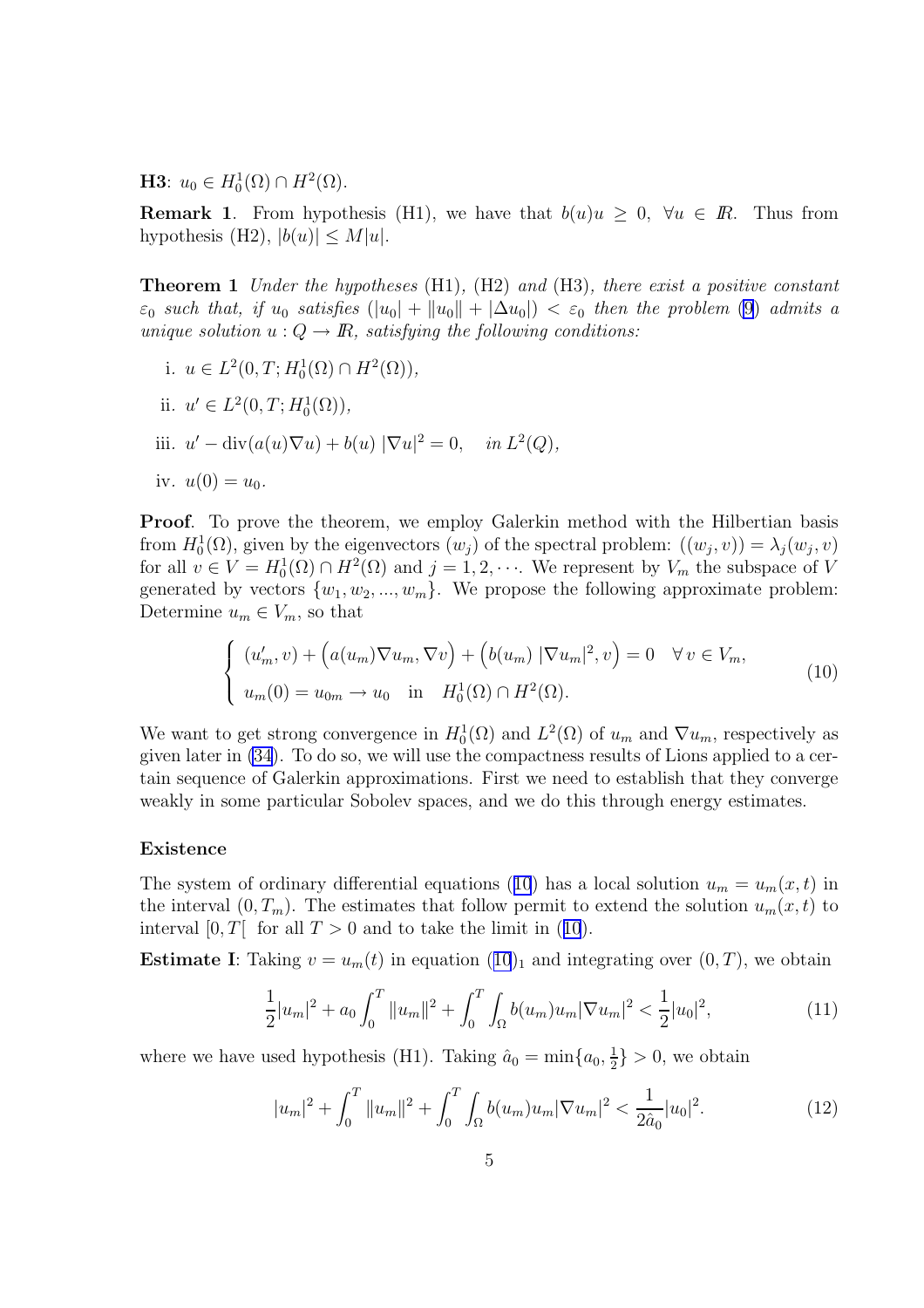<span id="page-4-0"></span>**H3**:  $u_0 \in H_0^1(\Omega) \cap H^2(\Omega)$ .

**Remark 1.** From hypothesis (H1), we have that  $b(u)u > 0$ ,  $\forall u \in \mathbb{R}$ . Thus from hypothesis (H2),  $|b(u)| \leq M|u|$ .

**Theorem 1** Under the hypotheses  $(H1)$ ,  $(H2)$  and  $(H3)$ , there exist a positive constant  $\varepsilon_0$  such that, if  $u_0$  satisfies  $(|u_0| + |u_0| + |\Delta u_0|) < \varepsilon_0$  then the problem [\(9](#page-3-0)) admits a unique solution  $u: Q \to \mathbb{R}$ , satisfying the following conditions:

- i.  $u \in L^2(0, T; H_0^1(\Omega) \cap H^2(\Omega)),$
- ii.  $u' \in L^2(0, T; H_0^1(\Omega)),$
- iii.  $u' \text{div}(a(u)\nabla u) + b(u) |\nabla u|^2 = 0$ , in  $L^2(Q)$ ,
- iv.  $u(0) = u_0$ .

**Proof.** To prove the theorem, we employ Galerkin method with the Hilbertian basis from  $H_0^1(\Omega)$ , given by the eigenvectors  $(w_j)$  of the spectral problem:  $((w_j, v)) = \lambda_j(w_j, v)$ for all  $v \in V = H_0^1(\Omega) \cap H^2(\Omega)$  and  $j = 1, 2, \cdots$ . We represent by  $V_m$  the subspace of V generated by vectors  $\{w_1, w_2, ..., w_m\}$ . We propose the following approximate problem: Determine  $u_m \in V_m$ , so that

$$
\begin{cases}\n(u'_m, v) + \left(a(u_m)\nabla u_m, \nabla v\right) + \left(b(u_m) |\nabla u_m|^2, v\right) = 0 & \forall v \in V_m, \\
u_m(0) = u_{0m} \to u_0 \quad \text{in} \quad H_0^1(\Omega) \cap H^2(\Omega).\n\end{cases}
$$
\n(10)

We want to get strong convergence in  $H_0^1(\Omega)$  and  $L^2(\Omega)$  of  $u_m$  and  $\nabla u_m$ , respectively as given later in [\(34](#page-8-0)). To do so, we will use the compactness results of Lions applied to a certain sequence of Galerkin approximations. First we need to establish that they converge weakly in some particular Sobolev spaces, and we do this through energy estimates.

#### Existence

The system of ordinary differential equations (10) has a local solution  $u_m = u_m(x, t)$  in the interval  $(0, T_m)$ . The estimates that follow permit to extend the solution  $u_m(x, t)$  to interval [0, T] for all  $T > 0$  and to take the limit in (10).

**Estimate I**: Taking  $v = u_m(t)$  in equation  $(10)_1$  and integrating over  $(0, T)$ , we obtain

$$
\frac{1}{2}|u_m|^2 + a_0 \int_0^T \|u_m\|^2 + \int_0^T \int_{\Omega} b(u_m)u_m |\nabla u_m|^2 < \frac{1}{2}|u_0|^2,\tag{11}
$$

where we have used hypothesis (H1). Taking  $\hat{a}_0 = \min\{a_0, \frac{1}{2}\}$  $\frac{1}{2}$  > 0, we obtain

$$
|u_m|^2 + \int_0^T \|u_m\|^2 + \int_0^T \int_{\Omega} b(u_m)u_m |\nabla u_m|^2 < \frac{1}{2\hat{a}_0}|u_0|^2. \tag{12}
$$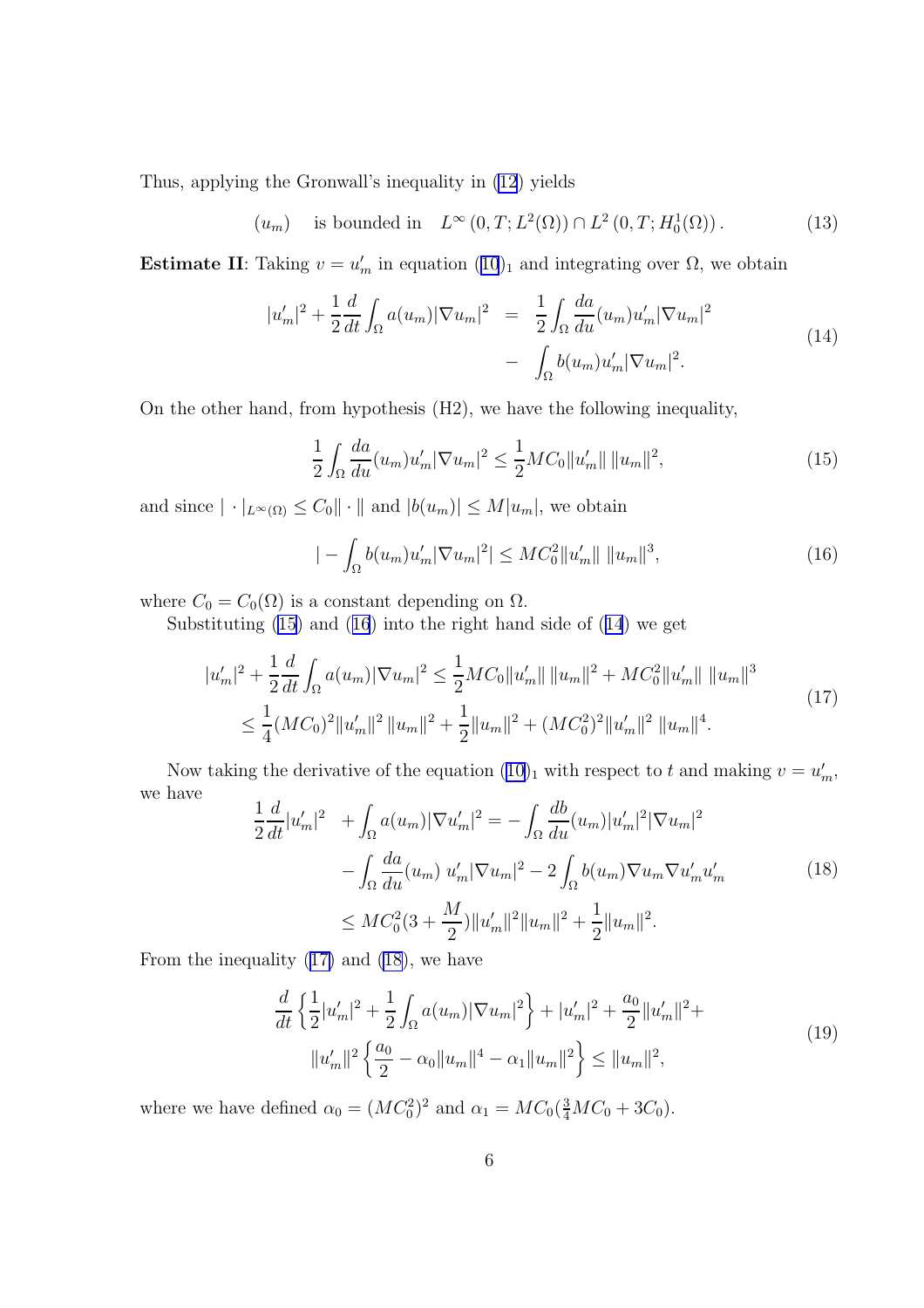<span id="page-5-0"></span>Thus, applying the Gronwall's inequality in [\(12](#page-4-0)) yields

$$
(u_m)
$$
 is bounded in  $L^{\infty}(0,T; L^2(\Omega)) \cap L^2(0,T; H_0^1(\Omega))$ . (13)

Estimate II: Taking  $v = u'_m$  in equation  $(10)_1$  $(10)_1$  $(10)_1$  and integrating over  $\Omega$ , we obtain

$$
|u'_{m}|^{2} + \frac{1}{2} \frac{d}{dt} \int_{\Omega} a(u_{m}) |\nabla u_{m}|^{2} = \frac{1}{2} \int_{\Omega} \frac{da}{du}(u_{m}) u'_{m} |\nabla u_{m}|^{2} - \int_{\Omega} b(u_{m}) u'_{m} |\nabla u_{m}|^{2}.
$$
 (14)

On the other hand, from hypothesis (H2), we have the following inequality,

$$
\frac{1}{2} \int_{\Omega} \frac{da}{du} (u_m) u'_m |\nabla u_m|^2 \le \frac{1}{2} M C_0 \|u'_m\| \|u_m\|^2, \tag{15}
$$

and since  $|\cdot|_{L^{\infty}(\Omega)} \leq C_0 ||\cdot||$  and  $|b(u_m)| \leq M |u_m|$ , we obtain

$$
| - \int_{\Omega} b(u_m) u'_m |\nabla u_m|^2| \leq M C_0^2 \|u'_m\| \|u_m\|^3,
$$
\n(16)

where  $C_0 = C_0(\Omega)$  is a constant depending on  $\Omega$ .

Substituting (15) and (16) into the right hand side of (14) we get

$$
|u'_{m}|^{2} + \frac{1}{2}\frac{d}{dt}\int_{\Omega} a(u_{m})|\nabla u_{m}|^{2} \leq \frac{1}{2}MC_{0}||u'_{m}|| \, ||u_{m}||^{2} + MC_{0}^{2}||u'_{m}|| \, ||u_{m}||^{3}
$$
  

$$
\leq \frac{1}{4}(MC_{0})^{2}||u'_{m}||^{2} ||u_{m}||^{2} + \frac{1}{2}||u_{m}||^{2} + (MC_{0}^{2})^{2}||u'_{m}||^{2} ||u_{m}||^{4}.
$$
 (17)

Now taking the derivative of the equation  $(10)_1$  $(10)_1$  with respect to t and making  $v = u'_m$ , we have  $\overline{11}$ 

$$
\frac{1}{2}\frac{d}{dt}|u'_{m}|^{2} + \int_{\Omega} a(u_{m})|\nabla u'_{m}|^{2} = -\int_{\Omega} \frac{db}{du}(u_{m})|u'_{m}|^{2}|\nabla u_{m}|^{2} \n- \int_{\Omega} \frac{da}{du}(u_{m})|u'_{m}|\nabla u_{m}|^{2} - 2\int_{\Omega} b(u_{m})\nabla u_{m}\nabla u'_{m}u'_{m} \n\leq MC_{0}^{2}(3 + \frac{M}{2})||u'_{m}||^{2}||u_{m}||^{2} + \frac{1}{2}||u_{m}||^{2}.
$$
\n(18)

From the inequality (17) and (18), we have

$$
\frac{d}{dt} \left\{ \frac{1}{2} |u'_m|^2 + \frac{1}{2} \int_{\Omega} a(u_m) |\nabla u_m|^2 \right\} + |u'_m|^2 + \frac{a_0}{2} ||u'_m||^2 +
$$
\n
$$
||u'_m||^2 \left\{ \frac{a_0}{2} - \alpha_0 ||u_m||^4 - \alpha_1 ||u_m||^2 \right\} \le ||u_m||^2,
$$
\n(19)

where we have defined  $\alpha_0 = (MC_0^2)^2$  and  $\alpha_1 = MC_0(\frac{3}{4}MC_0 + 3C_0)$ .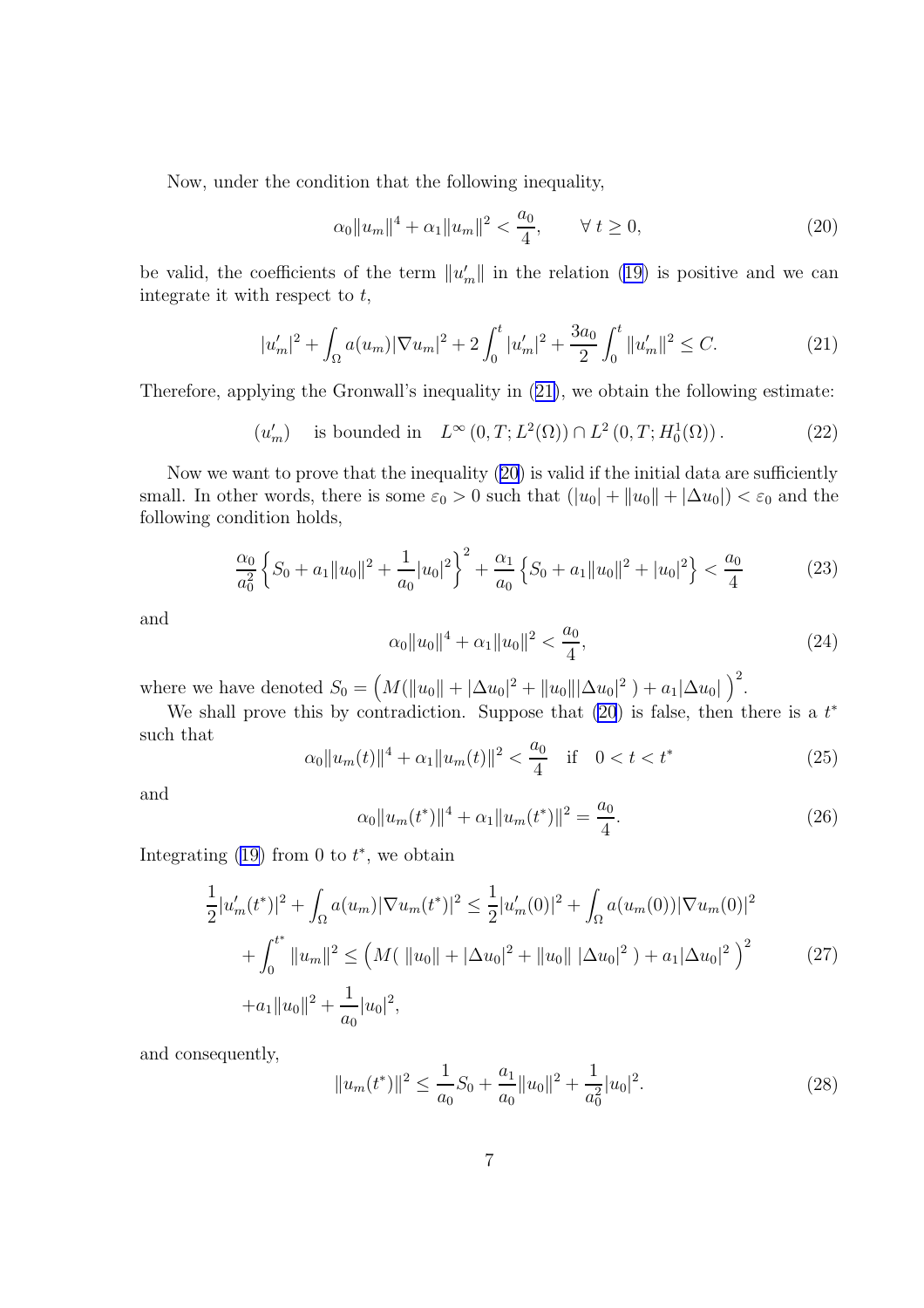<span id="page-6-0"></span>Now, under the condition that the following inequality,

$$
\alpha_0 \|u_m\|^4 + \alpha_1 \|u_m\|^2 < \frac{a_0}{4}, \qquad \forall \ t \ge 0,\tag{20}
$$

be valid, the coefficients of the term  $||u'_m||$  in the relation [\(19\)](#page-5-0) is positive and we can integrate it with respect to  $t$ ,

$$
|u'_m|^2 + \int_{\Omega} a(u_m) |\nabla u_m|^2 + 2 \int_0^t |u'_m|^2 + \frac{3a_0}{2} \int_0^t ||u'_m||^2 \le C. \tag{21}
$$

Therefore, applying the Gronwall's inequality in (21), we obtain the following estimate:

$$
(u'_m)
$$
 is bounded in  $L^{\infty}(0,T; L^2(\Omega)) \cap L^2(0,T; H_0^1(\Omega))$ . (22)

Now we want to prove that the inequality (20) is valid if the initial data are sufficiently small. In other words, there is some  $\varepsilon_0 > 0$  such that  $(|u_0| + ||u_0|| + |\Delta u_0|) < \varepsilon_0$  and the following condition holds,

$$
\frac{\alpha_0}{a_0^2} \left\{ S_0 + a_1 \|u_0\|^2 + \frac{1}{a_0} |u_0|^2 \right\}^2 + \frac{\alpha_1}{a_0} \left\{ S_0 + a_1 \|u_0\|^2 + |u_0|^2 \right\} < \frac{a_0}{4}
$$
\n(23)

and

$$
\alpha_0 \|u_0\|^4 + \alpha_1 \|u_0\|^2 < \frac{a_0}{4},\tag{24}
$$

where we have denoted  $S_0 = (M(||u_0|| + |\Delta u_0|^2 + ||u_0|| |\Delta u_0|^2) + a_1 |\Delta u_0|)^2$ .

We shall prove this by contradiction. Suppose that  $(20)$  is false, then there is a  $t^*$ such that

$$
\alpha_0 \|u_m(t)\|^4 + \alpha_1 \|u_m(t)\|^2 < \frac{a_0}{4} \quad \text{if} \quad 0 < t < t^* \tag{25}
$$

and

$$
\alpha_0 \|u_m(t^*)\|^4 + \alpha_1 \|u_m(t^*)\|^2 = \frac{a_0}{4}.\tag{26}
$$

Integrating  $(19)$  from 0 to  $t^*$ , we obtain

$$
\frac{1}{2}|u'_{m}(t^{*})|^{2} + \int_{\Omega} a(u_{m})|\nabla u_{m}(t^{*})|^{2} \le \frac{1}{2}|u'_{m}(0)|^{2} + \int_{\Omega} a(u_{m}(0))|\nabla u_{m}(0)|^{2} \n+ \int_{0}^{t^{*}} ||u_{m}||^{2} \le (M(||u_{0}|| + |\Delta u_{0}|^{2} + ||u_{0}|| |\Delta u_{0}|^{2}) + a_{1}|\Delta u_{0}|^{2})^{2} \n+ a_{1}||u_{0}||^{2} + \frac{1}{a_{0}}|u_{0}|^{2},
$$
\n(27)

and consequently,

$$
||u_m(t^*)||^2 \le \frac{1}{a_0} S_0 + \frac{a_1}{a_0} ||u_0||^2 + \frac{1}{a_0^2} |u_0|^2.
$$
 (28)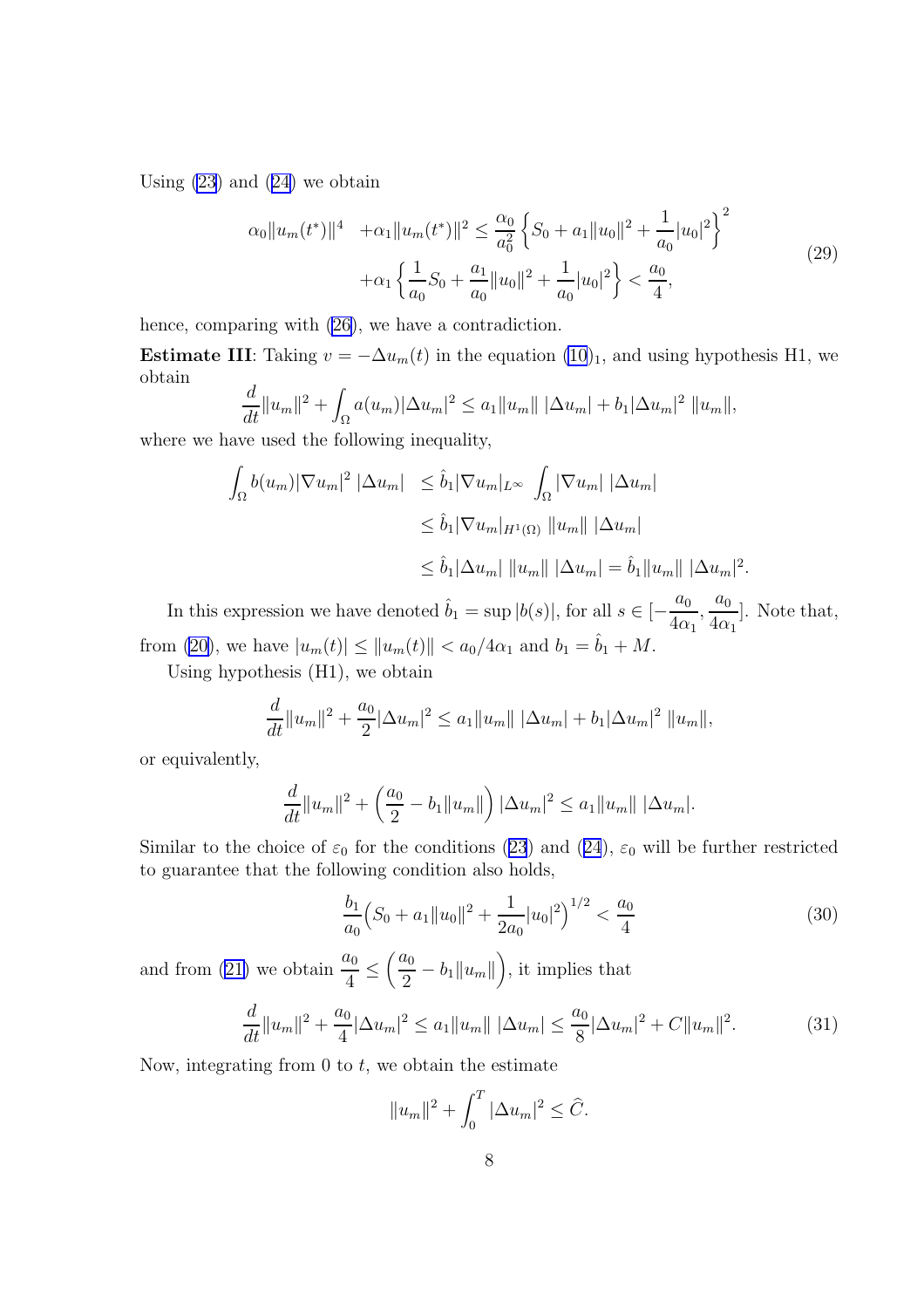Using  $(23)$  $(23)$  and  $(24)$  $(24)$  we obtain

$$
\alpha_0 \|u_m(t^*)\|^4 + \alpha_1 \|u_m(t^*)\|^2 \le \frac{\alpha_0}{a_0^2} \left\{ S_0 + a_1 \|u_0\|^2 + \frac{1}{a_0} |u_0|^2 \right\}^2 + \alpha_1 \left\{ \frac{1}{a_0} S_0 + \frac{a_1}{a_0} \|u_0\|^2 + \frac{1}{a_0} |u_0|^2 \right\} < \frac{a_0}{4},\tag{29}
$$

hence, comparing with [\(26\)](#page-6-0), we have a contradiction.

Estimate III: Taking  $v = -\Delta u_m(t)$  in the equation  $(10)_1$  $(10)_1$ , and using hypothesis H1, we obtain

$$
\frac{d}{dt}||u_m||^2 + \int_{\Omega} a(u_m) |\Delta u_m|^2 \le a_1 ||u_m|| |\Delta u_m| + b_1 |\Delta u_m|^2 ||u_m||,
$$

where we have used the following inequality,

$$
\int_{\Omega} b(u_m) |\nabla u_m|^2 |\Delta u_m| \leq \hat{b}_1 |\nabla u_m|_{L^{\infty}} \int_{\Omega} |\nabla u_m| |\Delta u_m|
$$
  

$$
\leq \hat{b}_1 |\nabla u_m|_{H^1(\Omega)} ||u_m|| |\Delta u_m|
$$
  

$$
\leq \hat{b}_1 |\Delta u_m| ||u_m|| |\Delta u_m| = \hat{b}_1 ||u_m|| |\Delta u_m|^2.
$$

In this expression we have denoted  $\hat{b}_1 = \sup |b(s)|$ , for all  $s \in \left[-\frac{a_0}{4\epsilon_0}\right]$  $4\alpha_1$  $\frac{a_0}{1}$  $4\alpha_1$ ]. Note that, from [\(20\)](#page-6-0), we have  $|u_m(t)| \le ||u_m(t)|| < a_0/4\alpha_1$  and  $b_1 = \hat{b}_1 + M$ .

Using hypothesis (H1), we obtain

$$
\frac{d}{dt}||u_m||^2 + \frac{a_0}{2}|\Delta u_m|^2 \le a_1||u_m|| |\Delta u_m| + b_1|\Delta u_m|^2 ||u_m||,
$$

or equivalently,

$$
\frac{d}{dt}||u_m||^2 + \left(\frac{a_0}{2} - b_1||u_m||\right) |\Delta u_m|^2 \le a_1||u_m|| |\Delta u_m|.
$$

Similar to the choice of  $\varepsilon_0$  for the conditions ([23](#page-6-0)) and ([24](#page-6-0)),  $\varepsilon_0$  will be further restricted to guarantee that the following condition also holds,

$$
\frac{b_1}{a_0} \left( S_0 + a_1 \| u_0 \|^2 + \frac{1}{2a_0} |u_0|^2 \right)^{1/2} < \frac{a_0}{4} \tag{30}
$$

and from ([21\)](#page-6-0) we obtain  $\frac{a_0}{4}$ 4  $\leq \left(\frac{a_0}{2}\right)$  $\frac{u_0}{2} - b_1 ||u_m||$ , it implies that

$$
\frac{d}{dt}||u_m||^2 + \frac{a_0}{4}|\Delta u_m|^2 \le a_1||u_m|| \, |\Delta u_m| \le \frac{a_0}{8}|\Delta u_m|^2 + C||u_m||^2. \tag{31}
$$

Now, integrating from  $0$  to  $t$ , we obtain the estimate

$$
||u_m||^2 + \int_0^T |\Delta u_m|^2 \leq \hat{C}.
$$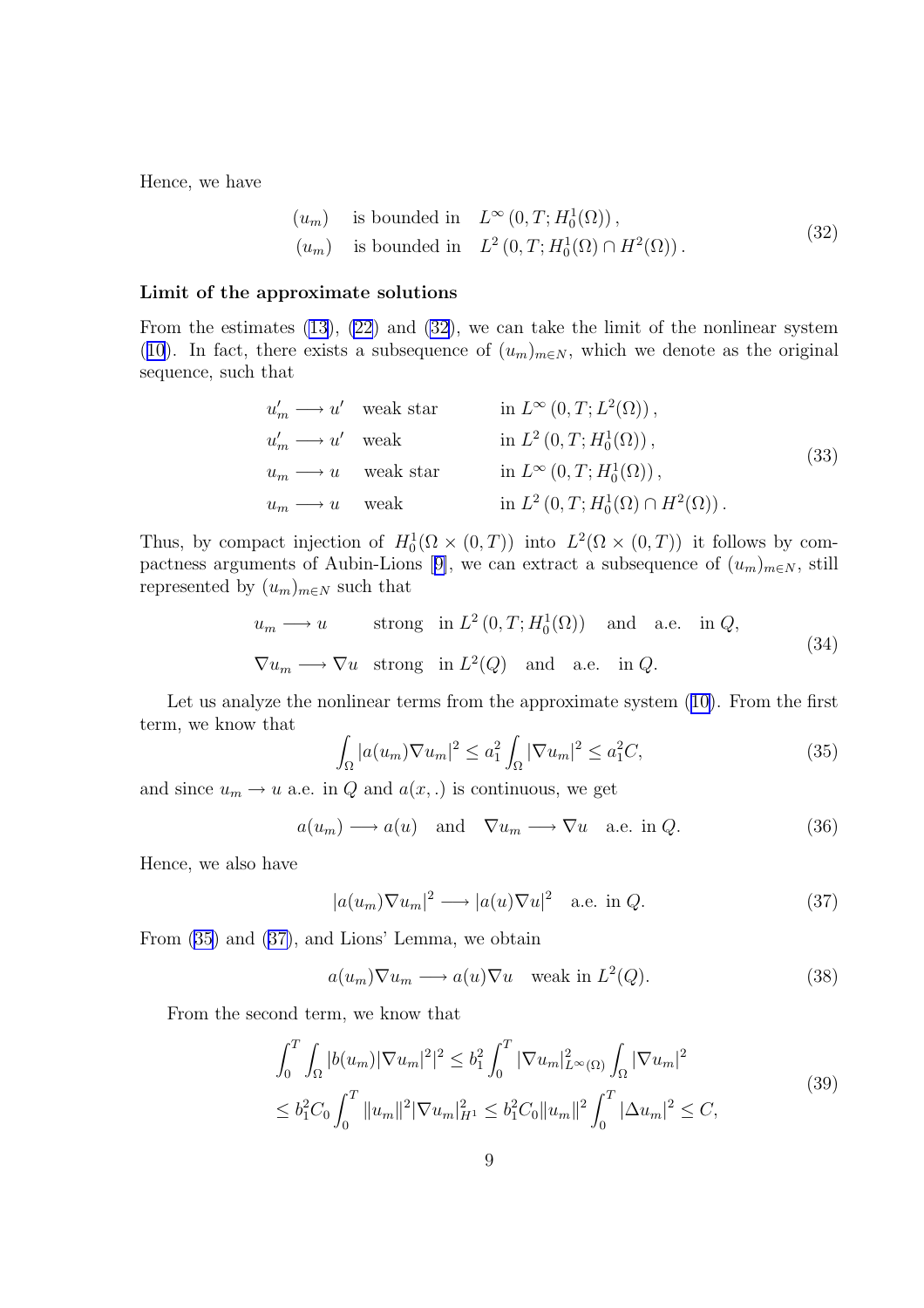<span id="page-8-0"></span>Hence, we have

$$
(u_m) \t is bounded in L\infty(0, T; H01(\Omega)),(u_m) is bounded in L2(0, T; H01(\Omega) \cap H2(\Omega)).
$$
\n(32)

#### Limit of the approximate solutions

From the estimates [\(13](#page-5-0)), [\(22](#page-6-0)) and (32), we can take the limit of the nonlinear system ([10](#page-4-0)). In fact, there exists a subsequence of  $(u_m)_{m\in N}$ , which we denote as the original sequence, such that

$$
u'_m \longrightarrow u' \quad \text{weak star} \qquad \text{in } L^{\infty}(0,T;L^2(\Omega)),
$$
  
\n
$$
u'_m \longrightarrow u' \quad \text{weak} \qquad \text{in } L^2(0,T;H_0^1(\Omega)),
$$
  
\n
$$
u_m \longrightarrow u \quad \text{weak star} \qquad \text{in } L^{\infty}(0,T;H_0^1(\Omega)),
$$
  
\n
$$
u_m \longrightarrow u \quad \text{weak} \qquad \text{in } L^2(0,T;H_0^1(\Omega) \cap H^2(\Omega)).
$$
\n(33)

Thus, by compact injection of  $H_0^1(\Omega \times (0,T))$  into  $L^2(\Omega \times (0,T))$  it follows by com-pactness arguments of Aubin-Lions [[9\]](#page-20-0), we can extract a subsequence of  $(u_m)_{m\in\mathbb{N}}$ , still represented by  $(u_m)_{m\in\mathbb{N}}$  such that

$$
u_m \longrightarrow u
$$
 strong in  $L^2(0, T; H_0^1(\Omega))$  and a.e. in  $Q$ ,  
\n $\nabla u_m \longrightarrow \nabla u$  strong in  $L^2(Q)$  and a.e. in  $Q$ . (34)

Let us analyze the nonlinear terms from the approximate system ([10\)](#page-4-0). From the first term, we know that

$$
\int_{\Omega} |a(u_m)\nabla u_m|^2 \le a_1^2 \int_{\Omega} |\nabla u_m|^2 \le a_1^2 C,\tag{35}
$$

and since  $u_m \to u$  a.e. in Q and  $a(x,.)$  is continuous, we get

$$
a(u_m) \longrightarrow a(u) \quad \text{and} \quad \nabla u_m \longrightarrow \nabla u \quad \text{a.e. in } Q.
$$
 (36)

Hence, we also have

$$
|a(u_m)\nabla u_m|^2 \longrightarrow |a(u)\nabla u|^2 \quad \text{a.e. in } Q. \tag{37}
$$

From (35) and (37), and Lions' Lemma, we obtain

$$
a(u_m)\nabla u_m \longrightarrow a(u)\nabla u \quad \text{weak in } L^2(Q). \tag{38}
$$

From the second term, we know that

$$
\int_0^T \int_{\Omega} |b(u_m)| \nabla u_m|^2|^2 \leq b_1^2 \int_0^T |\nabla u_m|_{L^{\infty}(\Omega)}^2 \int_{\Omega} |\nabla u_m|^2
$$
\n
$$
\leq b_1^2 C_0 \int_0^T \|u_m\|^2 |\nabla u_m|_{H^1}^2 \leq b_1^2 C_0 \|u_m\|^2 \int_0^T |\Delta u_m|^2 \leq C,
$$
\n(39)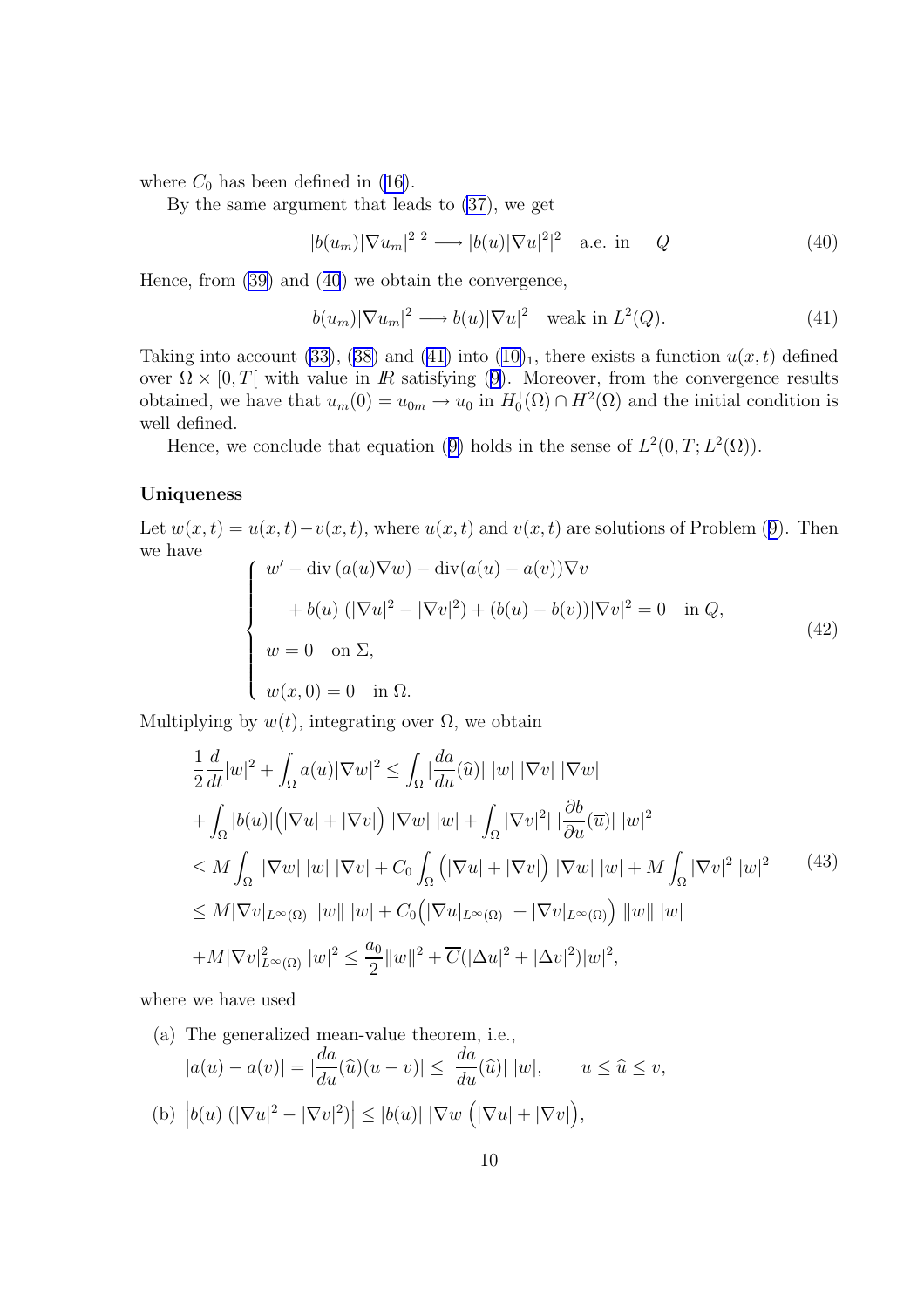<span id="page-9-0"></span>where  $C_0$  has been defined in ([16\)](#page-5-0).

By the same argument that leads to [\(37](#page-8-0)), we get

$$
|b(u_m)|\nabla u_m|^2|^2 \longrightarrow |b(u)|\nabla u|^2|^2 \quad \text{a.e. in} \quad Q \tag{40}
$$

Hence, from [\(39\)](#page-8-0) and (40) we obtain the convergence,

$$
b(u_m)|\nabla u_m|^2 \longrightarrow b(u)|\nabla u|^2 \quad \text{weak in } L^2(Q). \tag{41}
$$

Taking into account [\(33\)](#page-8-0), ([38\)](#page-8-0) and (41) into  $(10)_1$  $(10)_1$ , there exists a function  $u(x, t)$  defined over  $\Omega \times [0, T]$  with value in R satisfying ([9\)](#page-3-0). Moreover, from the convergence results obtained, we have that  $u_m(0) = u_{0m} \to u_0$  in  $H_0^1(\Omega) \cap H^2(\Omega)$  and the initial condition is well defined.

Hence, we conclude that equation ([9\)](#page-3-0) holds in the sense of  $L^2(0,T; L^2(\Omega))$ .

#### Uniqueness

Let  $w(x,t) = u(x,t) - v(x,t)$ , where  $u(x,t)$  and  $v(x,t)$  are solutions of Problem ([9\)](#page-3-0). Then we have

$$
\begin{cases}\nw' - \operatorname{div} (a(u)\nabla w) - \operatorname{div} (a(u) - a(v))\nabla v \n+ b(u) (|\nabla u|^2 - |\nabla v|^2) + (b(u) - b(v))|\nabla v|^2 = 0 & \text{in } Q, \\
w = 0 \quad \text{on } \Sigma, \\
w(x, 0) = 0 \quad \text{in } \Omega.\n\end{cases}
$$
\n(42)

Multiplying by  $w(t)$ , integrating over  $\Omega$ , we obtain

$$
\frac{1}{2}\frac{d}{dt}|w|^2 + \int_{\Omega} a(u)|\nabla w|^2 \le \int_{\Omega} \left|\frac{da}{du}(\hat{u})\right| |w| |\nabla v| |\nabla w| \n+ \int_{\Omega} |b(u)| \left(|\nabla u| + |\nabla v|\right) |\nabla w| |w| + \int_{\Omega} |\nabla v|^2| |\frac{\partial b}{\partial u}(\overline{u})| |w|^2 \n\le M \int_{\Omega} |\nabla w| |w| |\nabla v| + C_0 \int_{\Omega} \left(|\nabla u| + |\nabla v|\right) |\nabla w| |w| + M \int_{\Omega} |\nabla v|^2 |w|^2 \qquad (43) \n\le M |\nabla v|_{L^{\infty}(\Omega)} ||w|| |w| + C_0 \left(|\nabla u|_{L^{\infty}(\Omega)} + |\nabla v|_{L^{\infty}(\Omega)}\right) ||w|| |w| \n+ M |\nabla v|_{L^{\infty}(\Omega)}^2 |w|^2 \le \frac{a_0}{2} ||w||^2 + \overline{C}(|\Delta u|^2 + |\Delta v|^2) |w|^2,
$$

where we have used

(a) The generalized mean-value theorem, i.e.,  
\n
$$
|a(u) - a(v)| = |\frac{da}{du}(\hat{u})(u - v)| \le |\frac{da}{du}(\hat{u})| |w|, \qquad u \le \hat{u} \le v,
$$
\n(b) 
$$
|b(u) (|\nabla u|^2 - |\nabla v|^2)| \le |b(u)| |\nabla w| (|\nabla u| + |\nabla v|),
$$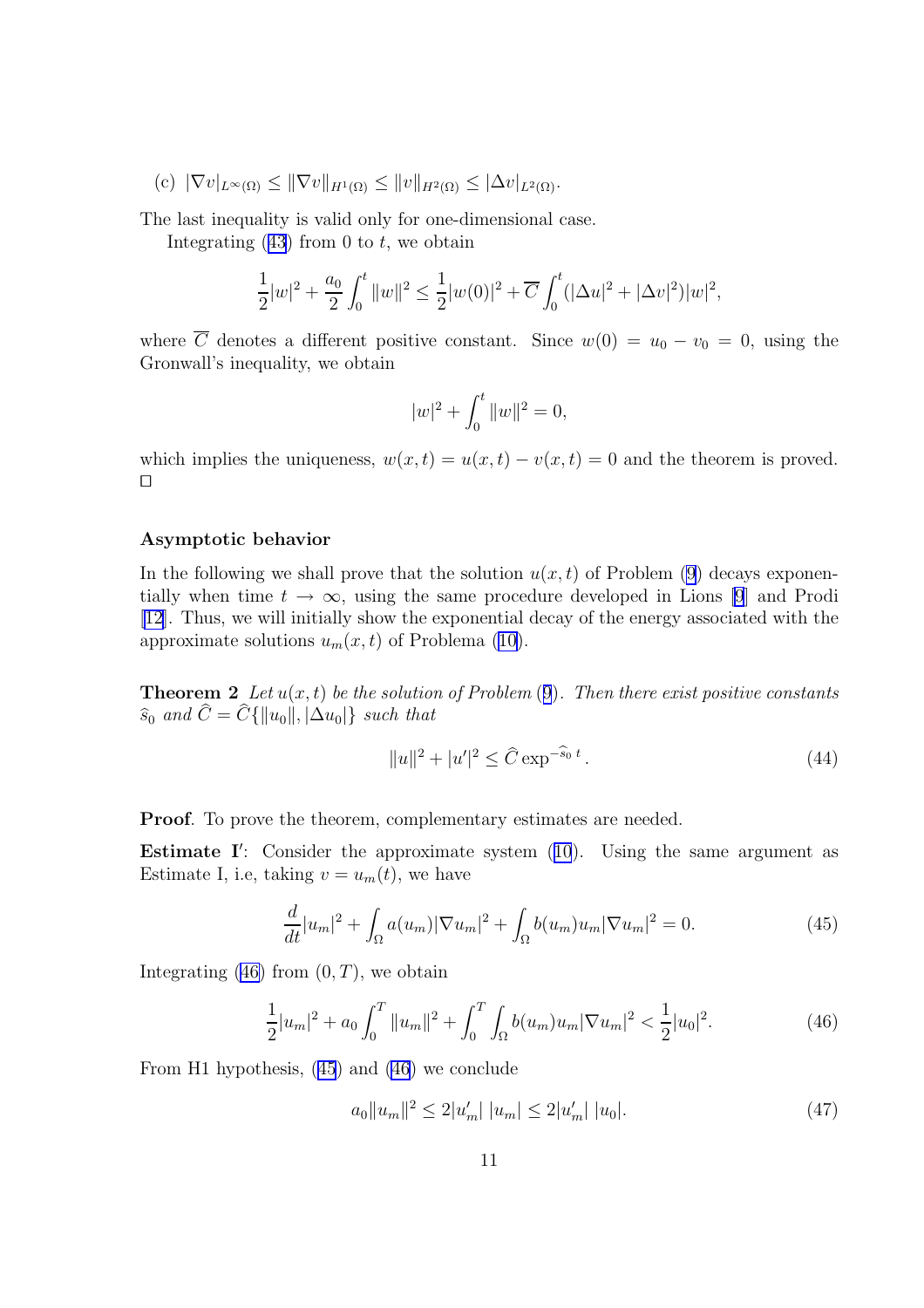<span id="page-10-0"></span>(c)  $|\nabla v|_{L^{\infty}(\Omega)} \leq ||\nabla v||_{H^1(\Omega)} \leq ||v||_{H^2(\Omega)} \leq |\Delta v|_{L^2(\Omega)}.$ 

The last inequality is valid only for one-dimensional case.

Integrating  $(43)$  $(43)$  $(43)$  from 0 to t, we obtain

$$
\frac{1}{2}|w|^2 + \frac{a_0}{2}\int_0^t \|w\|^2 \le \frac{1}{2}|w(0)|^2 + \overline{C}\int_0^t (|\Delta u|^2 + |\Delta v|^2)|w|^2,
$$

where  $\overline{C}$  denotes a different positive constant. Since  $w(0) = u_0 - v_0 = 0$ , using the Gronwall's inequality, we obtain

$$
|w|^2 + \int_0^t \|w\|^2 = 0,
$$

which implies the uniqueness,  $w(x, t) = u(x, t) - v(x, t) = 0$  and the theorem is proved.  $\Box$ 

#### Asymptotic behavior

In the following we shall prove that the solution  $u(x, t)$  of Problem [\(9](#page-3-0)) decays exponentially when time  $t \to \infty$ , using the same procedure developed in Lions [\[9](#page-20-0)] and Prodi [\[12](#page-20-0)]. Thus, we will initially show the exponential decay of the energy associated with the approximate solutions  $u_m(x, t)$  of Problema [\(10\)](#page-4-0).

**Theorem 2** Let  $u(x, t)$  be the solution of Problem ([9](#page-3-0)). Then there exist positive constants  $\widehat{s}_0$  and  $\widehat{C} = \widehat{C} \{ ||u_0||, |\Delta u_0| \}$  such that

$$
||u||^2 + |u'|^2 \le \hat{C} \exp^{-\hat{s}_0 t}.
$$
\n(44)

Proof. To prove the theorem, complementary estimates are needed.

**Estimate I':** Consider the approximate system  $(10)$  $(10)$  $(10)$ . Using the same argument as Estimate I, i.e, taking  $v = u_m(t)$ , we have

$$
\frac{d}{dt}|u_m|^2 + \int_{\Omega} a(u_m)|\nabla u_m|^2 + \int_{\Omega} b(u_m)u_m|\nabla u_m|^2 = 0.
$$
\n(45)

Integrating  $(46)$  from  $(0, T)$ , we obtain

$$
\frac{1}{2}|u_m|^2 + a_0 \int_0^T \|u_m\|^2 + \int_0^T \int_{\Omega} b(u_m)u_m |\nabla u_m|^2 < \frac{1}{2}|u_0|^2. \tag{46}
$$

From H1 hypothesis, (45) and (46) we conclude

$$
a_0||u_m||^2 \le 2|u'_m| \, |u_m| \le 2|u'_m| \, |u_0|.\tag{47}
$$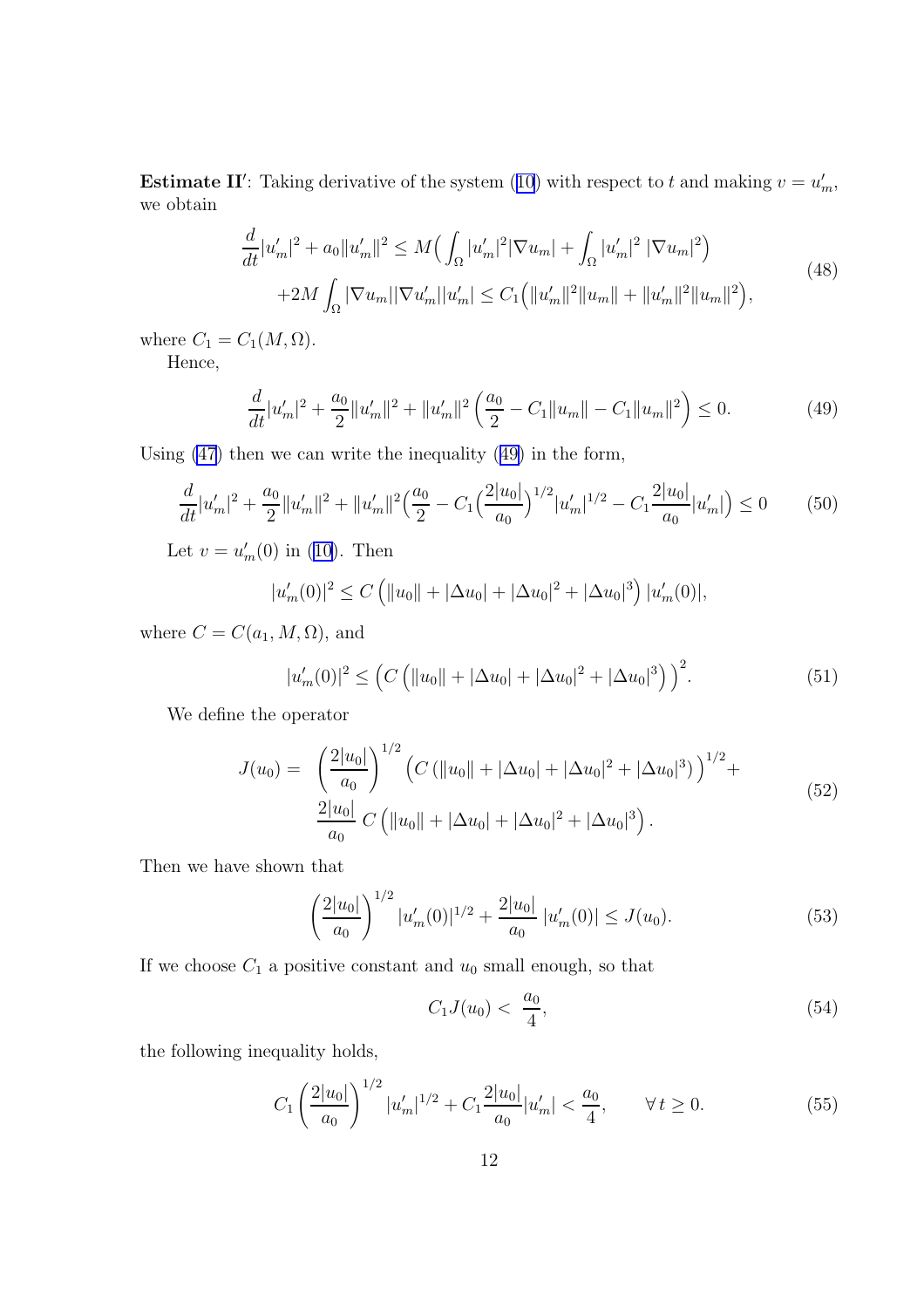<span id="page-11-0"></span>**Estimate II':** Taking derivative of the system ([10](#page-4-0)) with respect to t and making  $v = u'_m$ , we obtain

$$
\frac{d}{dt}|u'_{m}|^{2} + a_{0}||u'_{m}||^{2} \leq M\left(\int_{\Omega}|u'_{m}|^{2}|\nabla u_{m}| + \int_{\Omega}|u'_{m}|^{2}|\nabla u_{m}|^{2}\right) \n+ 2M\int_{\Omega}|\nabla u_{m}||\nabla u'_{m}||u'_{m}| \leq C_{1}\left(||u'_{m}||^{2}||u_{m}|| + ||u'_{m}||^{2}||u_{m}||^{2}\right),
$$
\n(48)

where  $C_1 = C_1(M, \Omega)$ .

Hence,

$$
\frac{d}{dt}|u'_m|^2 + \frac{a_0}{2}||u'_m||^2 + ||u'_m||^2 \left(\frac{a_0}{2} - C_1||u_m|| - C_1||u_m||^2\right) \le 0.
$$
\n(49)

Using [\(47](#page-10-0)) then we can write the inequality (49) in the form,

$$
\frac{d}{dt}|u'_m|^2 + \frac{a_0}{2}||u'_m||^2 + ||u'_m||^2 \left(\frac{a_0}{2} - C_1 \left(\frac{2|u_0|}{a_0}\right)^{1/2}|u'_m|^{1/2} - C_1 \frac{2|u_0|}{a_0}|u'_m|\right) \le 0\tag{50}
$$

Let  $v = u'_m(0)$  in [\(10\)](#page-4-0). Then

$$
|u'_m(0)|^2 \le C \left( ||u_0|| + |\Delta u_0| + |\Delta u_0|^2 + |\Delta u_0|^3 \right) |u'_m(0)|,
$$

where  $C = C(a_1, M, \Omega)$ , and

$$
|u'_m(0)|^2 \le \left( C \left( ||u_0|| + |\Delta u_0| + |\Delta u_0|^2 + |\Delta u_0|^3 \right) \right)^2. \tag{51}
$$

We define the operator

$$
J(u_0) = \left(\frac{2|u_0|}{a_0}\right)^{1/2} \left(C\left(\|u_0\| + |\Delta u_0| + |\Delta u_0|^2 + |\Delta u_0|^3\right)\right)^{1/2} +
$$
  

$$
\frac{2|u_0|}{a_0} C\left(\|u_0\| + |\Delta u_0| + |\Delta u_0|^2 + |\Delta u_0|^3\right).
$$
 (52)

Then we have shown that

$$
\left(\frac{2|u_0|}{a_0}\right)^{1/2} |u'_m(0)|^{1/2} + \frac{2|u_0|}{a_0} |u'_m(0)| \le J(u_0).
$$
\n(53)

If we choose  $C_1$  a positive constant and  $u_0$  small enough, so that

$$
C_1 J(u_0) < \frac{a_0}{4},\tag{54}
$$

the following inequality holds,

$$
C_1 \left(\frac{2|u_0|}{a_0}\right)^{1/2} |u'_m|^{1/2} + C_1 \frac{2|u_0|}{a_0} |u'_m| < \frac{a_0}{4}, \qquad \forall \, t \ge 0. \tag{55}
$$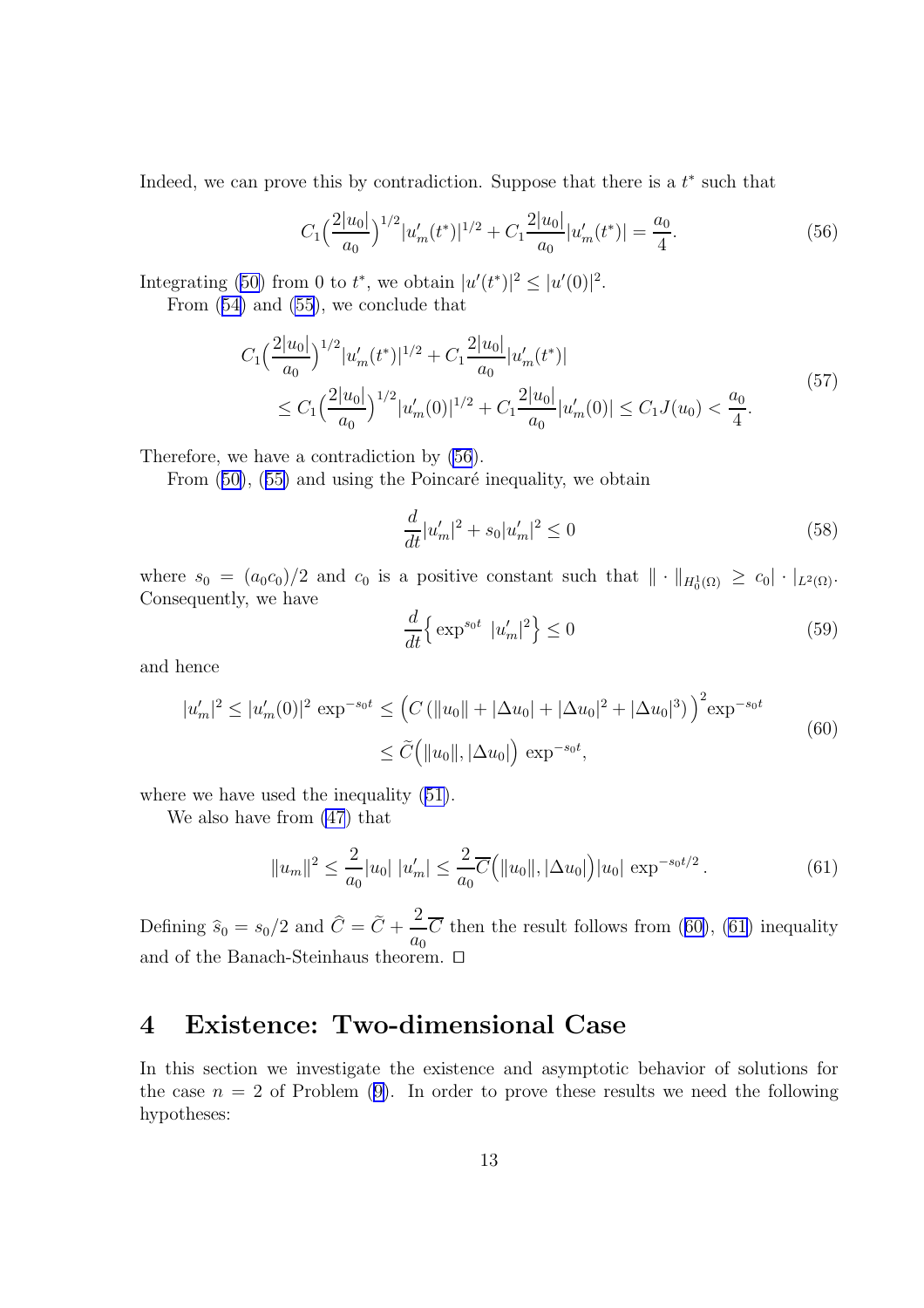Indeed, we can prove this by contradiction. Suppose that there is a  $t^*$  such that

$$
C_1 \left(\frac{2|u_0|}{a_0}\right)^{1/2} |u'_m(t^*)|^{1/2} + C_1 \frac{2|u_0|}{a_0} |u'_m(t^*)| = \frac{a_0}{4}.
$$
 (56)

Integrating [\(50\)](#page-11-0) from 0 to  $t^*$ , we obtain  $|u'(t^*)|^2 \leq |u'(0)|^2$ .

From ([54\)](#page-11-0) and [\(55](#page-11-0)), we conclude that

$$
C_{1}\left(\frac{2|u_{0}|}{a_{0}}\right)^{1/2}|u'_{m}(t^{*})|^{1/2} + C_{1}\frac{2|u_{0}|}{a_{0}}|u'_{m}(t^{*})|
$$
  
\n
$$
\leq C_{1}\left(\frac{2|u_{0}|}{a_{0}}\right)^{1/2}|u'_{m}(0)|^{1/2} + C_{1}\frac{2|u_{0}|}{a_{0}}|u'_{m}(0)| \leq C_{1}J(u_{0}) < \frac{a_{0}}{4}.
$$
\n
$$
(57)
$$

Therefore, we have a contradiction by (56).

From  $(50)$  $(50)$ ,  $(55)$  $(55)$  and using the Poincaré inequality, we obtain

$$
\frac{d}{dt}|u'_m|^2 + s_0|u'_m|^2 \le 0\tag{58}
$$

where  $s_0 = (a_0 c_0)/2$  and  $c_0$  is a positive constant such that  $\|\cdot\|_{H_0^1(\Omega)} \geq c_0 |\cdot|_{L^2(\Omega)}$ . Consequently, we have

$$
\frac{d}{dt} \left\{ \exp^{s_0 t} |u'_m|^2 \right\} \le 0 \tag{59}
$$

and hence

$$
|u'_m|^2 \le |u'_m(0)|^2 \exp^{-s_0 t} \le (C (||u_0|| + |\Delta u_0| + |\Delta u_0|^2 + |\Delta u_0|^3))^{2} \exp^{-s_0 t}
$$
  

$$
\le \widetilde{C} (||u_0||, |\Delta u_0|) \exp^{-s_0 t},
$$
 (60)

where we have used the inequality  $(51)$  $(51)$ .

We also have from [\(47](#page-10-0)) that

$$
||u_m||^2 \le \frac{2}{a_0} |u_0| \, |u'_m| \le \frac{2}{a_0} \overline{C} \Big( ||u_0||, |\Delta u_0| \Big) |u_0| \, \exp^{-s_0 t/2} \,. \tag{61}
$$

Defining  $\hat{s}_0 = s_0/2$  and  $C = C +$ 2  $a_0$ C then the result follows from  $(60)$ ,  $(61)$  inequality and of the Banach-Steinhaus theorem.  $\square$ 

## 4 Existence: Two-dimensional Case

In this section we investigate the existence and asymptotic behavior of solutions for the case  $n = 2$  of Problem ([9\)](#page-3-0). In order to prove these results we need the following hypotheses: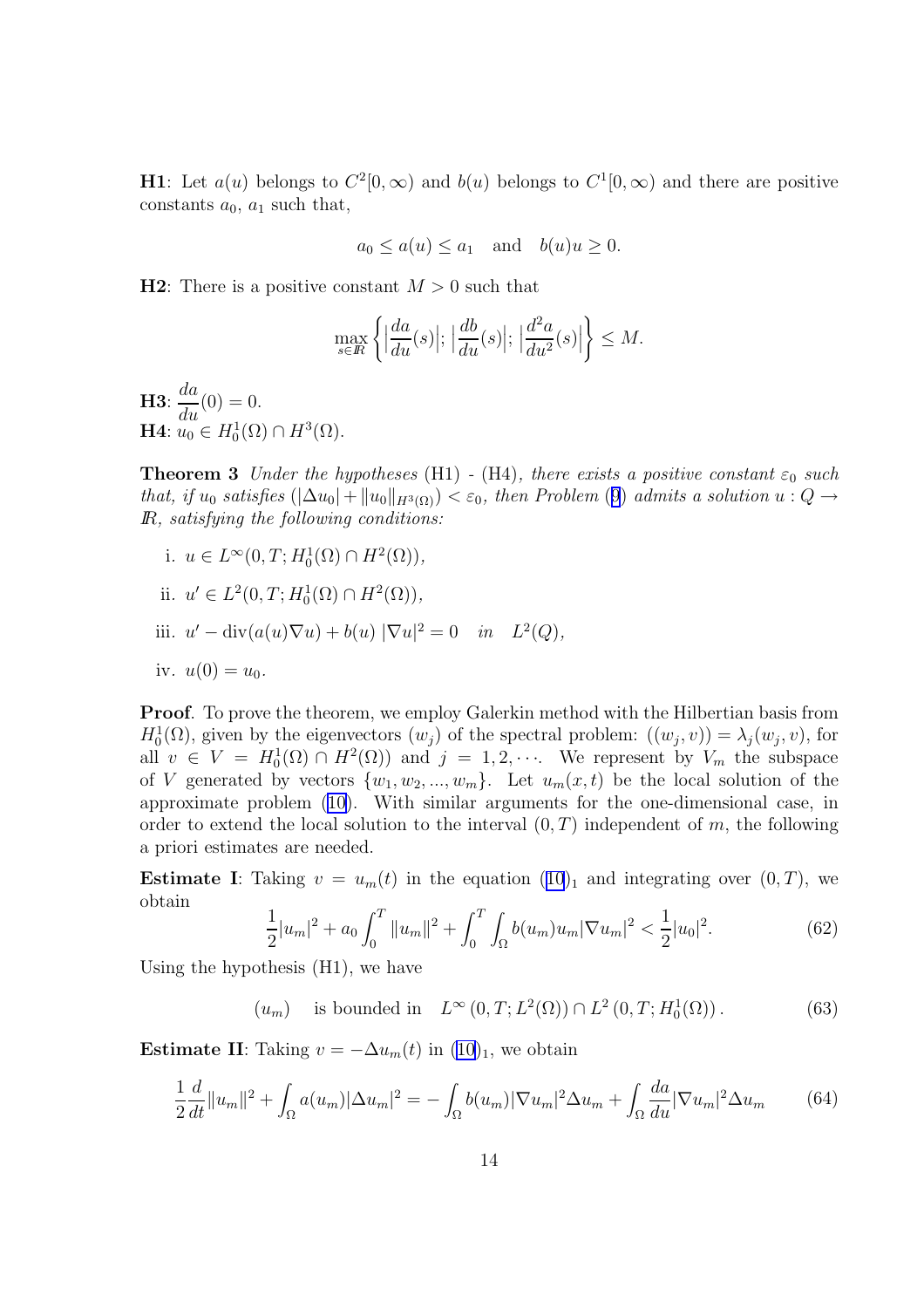<span id="page-13-0"></span>**H1**: Let  $a(u)$  belongs to  $C^2[0,\infty)$  and  $b(u)$  belongs to  $C^1[0,\infty)$  and there are positive constants  $a_0$ ,  $a_1$  such that,

$$
a_0 \le a(u) \le a_1
$$
 and  $b(u)u \ge 0$ .

**H2**: There is a positive constant  $M > 0$  such that

$$
\max_{s\in\mathbb{R}}\left\{\Big|\frac{da}{du}(s)\Big|; \, \Big|\frac{db}{du}(s)\Big|; \, \Big|\frac{d^2a}{du^2}(s)\Big|\right\}\leq M.
$$

H3:  $\frac{da}{d}$  $\frac{du}{du}(0) = 0.$ **H**4:  $u_0 \in H_0^1(\Omega) \cap H^3(\Omega)$ .

**Theorem 3** Under the hypotheses (H1) - (H4), there exists a positive constant  $\varepsilon_0$  such that, if  $u_0$  satisfies  $(|\Delta u_0| + ||u_0||_{H^3(\Omega)}) < \varepsilon_0$ , then Problem ([9](#page-3-0)) admits a solution  $u : Q \to$ IR, satisfying the following conditions:

i.  $u \in L^{\infty}(0,T; H_0^1(\Omega) \cap H^2(\Omega)),$ 

ii. 
$$
u' \in L^2(0, T; H_0^1(\Omega) \cap H^2(\Omega)),
$$

iii. 
$$
u' - \operatorname{div}(a(u)\nabla u) + b(u) |\nabla u|^2 = 0 \quad in \quad L^2(Q),
$$

iv. 
$$
u(0) = u_0
$$
.

Proof. To prove the theorem, we employ Galerkin method with the Hilbertian basis from  $H_0^1(\Omega)$ , given by the eigenvectors  $(w_j)$  of the spectral problem:  $((w_j, v)) = \lambda_j(w_j, v)$ , for all  $v \in V = H_0^1(\Omega) \cap H^2(\Omega)$  and  $j = 1, 2, \cdots$ . We represent by  $V_m$  the subspace of V generated by vectors  $\{w_1, w_2, ..., w_m\}$ . Let  $u_m(x, t)$  be the local solution of the approximate problem ([10\)](#page-4-0). With similar arguments for the one-dimensional case, in order to extend the local solution to the interval  $(0, T)$  independent of m, the following a priori estimates are needed.

**Estimate I**: Taking  $v = u_m(t)$  in the equation  $(10)_1$  $(10)_1$  $(10)_1$  and integrating over  $(0, T)$ , we obtain

$$
\frac{1}{2}|u_m|^2 + a_0 \int_0^T \|u_m\|^2 + \int_0^T \int_{\Omega} b(u_m)u_m |\nabla u_m|^2 < \frac{1}{2}|u_0|^2. \tag{62}
$$

Using the hypothesis (H1), we have

 $(u_m)$  is bounded in  $L^{\infty}(0,T; L^2(\Omega)) \cap L^2(0,T; H_0^1(\Omega))$ . (63)

**Estimate II:** Taking  $v = -\Delta u_m(t)$  in  $(10)_1$  $(10)_1$ , we obtain

$$
\frac{1}{2}\frac{d}{dt}\|u_m\|^2 + \int_{\Omega} a(u_m)|\Delta u_m|^2 = -\int_{\Omega} b(u_m)|\nabla u_m|^2 \Delta u_m + \int_{\Omega} \frac{da}{du}|\nabla u_m|^2 \Delta u_m \tag{64}
$$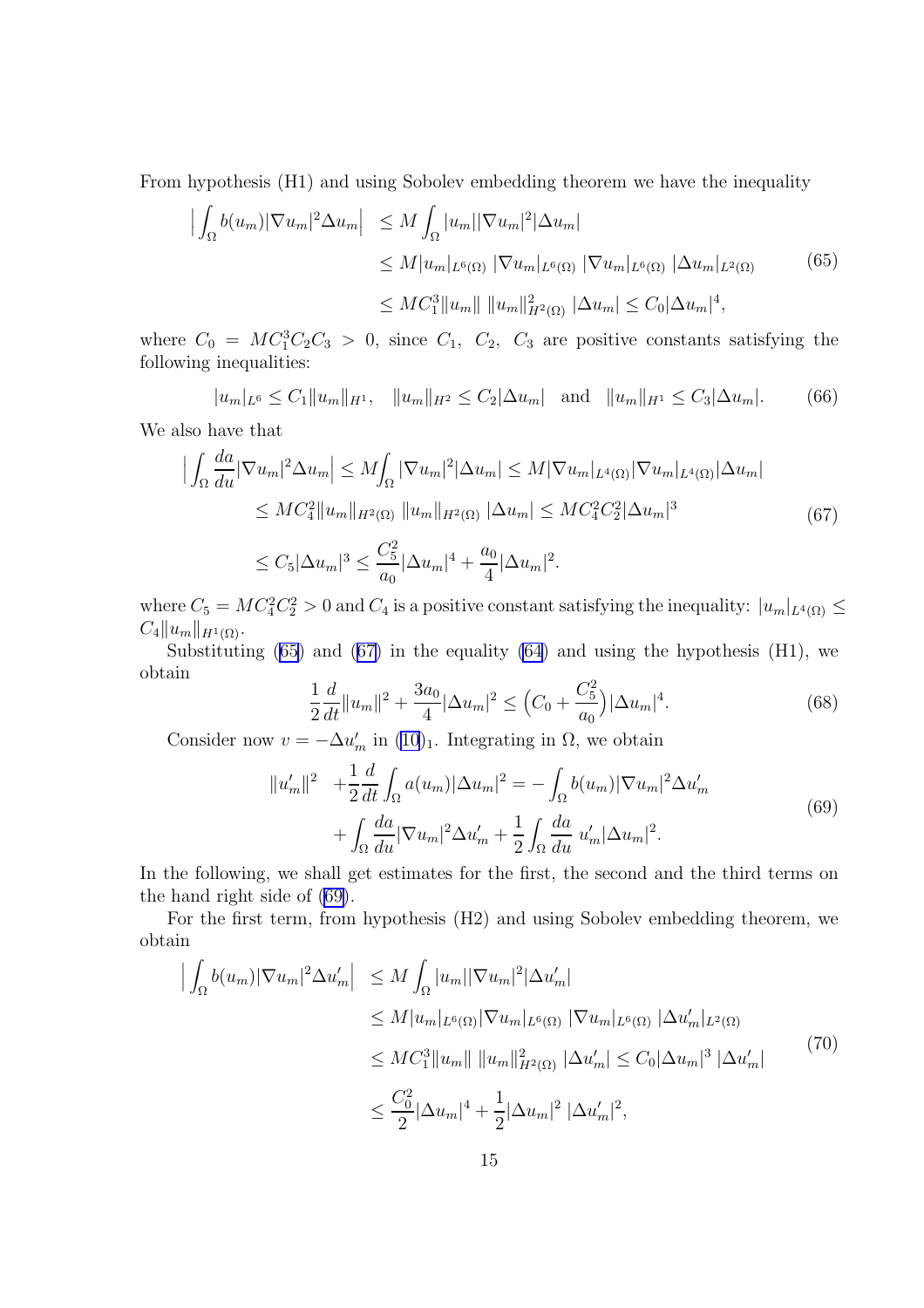<span id="page-14-0"></span>From hypothesis (H1) and using Sobolev embedding theorem we have the inequality

$$
\begin{aligned} \left| \int_{\Omega} b(u_m) |\nabla u_m|^2 \Delta u_m \right| &\leq M \int_{\Omega} |u_m| |\nabla u_m|^2 |\Delta u_m| \\ &\leq M |u_m|_{L^6(\Omega)} |\nabla u_m|_{L^6(\Omega)} |\nabla u_m|_{L^6(\Omega)} |\Delta u_m|_{L^2(\Omega)} \end{aligned} \tag{65}
$$
\n
$$
\leq M C_1^3 \|u_m\| \|u_m\|_{H^2(\Omega)}^2 |\Delta u_m| \leq C_0 |\Delta u_m|^4,
$$

where  $C_0 = MC_1^3C_2C_3 > 0$ , since  $C_1$ ,  $C_2$ ,  $C_3$  are positive constants satisfying the following inequalities:

$$
|u_m|_{L^6} \le C_1 \|u_m\|_{H^1}, \quad \|u_m\|_{H^2} \le C_2 |\Delta u_m| \quad \text{and} \quad \|u_m\|_{H^1} \le C_3 |\Delta u_m|.
$$
 (66)

We also have that

$$
\left| \int_{\Omega} \frac{da}{du} |\nabla u_m|^2 \Delta u_m \right| \le M \int_{\Omega} |\nabla u_m|^2 |\Delta u_m| \le M |\nabla u_m|_{L^4(\Omega)} |\nabla u_m|_{L^4(\Omega)} |\Delta u_m|
$$
  
\n
$$
\le M C_4^2 \|u_m\|_{H^2(\Omega)} \|u_m\|_{H^2(\Omega)} |\Delta u_m| \le M C_4^2 C_2^2 |\Delta u_m|^3
$$
  
\n
$$
\le C_5 |\Delta u_m|^3 \le \frac{C_5^2}{a_0} |\Delta u_m|^4 + \frac{a_0}{4} |\Delta u_m|^2.
$$
 (67)

where  $C_5 = MC_4^2C_2^2 > 0$  and  $C_4$  is a positive constant satisfying the inequality:  $|u_m|_{L^4(\Omega)} \le$  $C_4||u_m||_{H^1(\Omega)}.$ 

Substituting  $(65)$  and  $(67)$  in the equality  $(64)$  $(64)$  and using the hypothesis  $(H1)$ , we obtain

$$
\frac{1}{2}\frac{d}{dt}\|u_m\|^2 + \frac{3a_0}{4}|\Delta u_m|^2 \le (C_0 + \frac{C_5^2}{a_0})|\Delta u_m|^4. \tag{68}
$$

Consider now  $v = -\Delta u'_m$  in [\(10](#page-4-0))<sub>1</sub>. Integrating in  $\Omega$ , we obtain

$$
||u'_{m}||^{2} + \frac{1}{2} \frac{d}{dt} \int_{\Omega} a(u_{m}) |\Delta u_{m}|^{2} = - \int_{\Omega} b(u_{m}) |\nabla u_{m}|^{2} \Delta u'_{m} + \int_{\Omega} \frac{da}{du} |\nabla u_{m}|^{2} \Delta u'_{m} + \frac{1}{2} \int_{\Omega} \frac{da}{du} u'_{m} |\Delta u_{m}|^{2}.
$$
 (69)

In the following, we shall get estimates for the first, the second and the third terms on the hand right side of (69).

For the first term, from hypothesis (H2) and using Sobolev embedding theorem, we obtain

$$
\begin{aligned}\n\left| \int_{\Omega} b(u_m) |\nabla u_m|^2 \Delta u'_m \right| &\leq M \int_{\Omega} |u_m| |\nabla u_m|^2 |\Delta u'_m| \\
&\leq M |u_m|_{L^6(\Omega)} |\nabla u_m|_{L^6(\Omega)} |\nabla u_m|_{L^6(\Omega)} |\Delta u'_m|_{L^2(\Omega)} \\
&\leq M C_1^3 \|u_m\| \|u_m\|_{H^2(\Omega)}^2 |\Delta u'_m| \leq C_0 |\Delta u_m|^3 |\Delta u'_m|\n\end{aligned} \tag{70}
$$
\n
$$
\leq \frac{C_0^2}{2} |\Delta u_m|^4 + \frac{1}{2} |\Delta u_m|^2 |\Delta u'_m|^2,
$$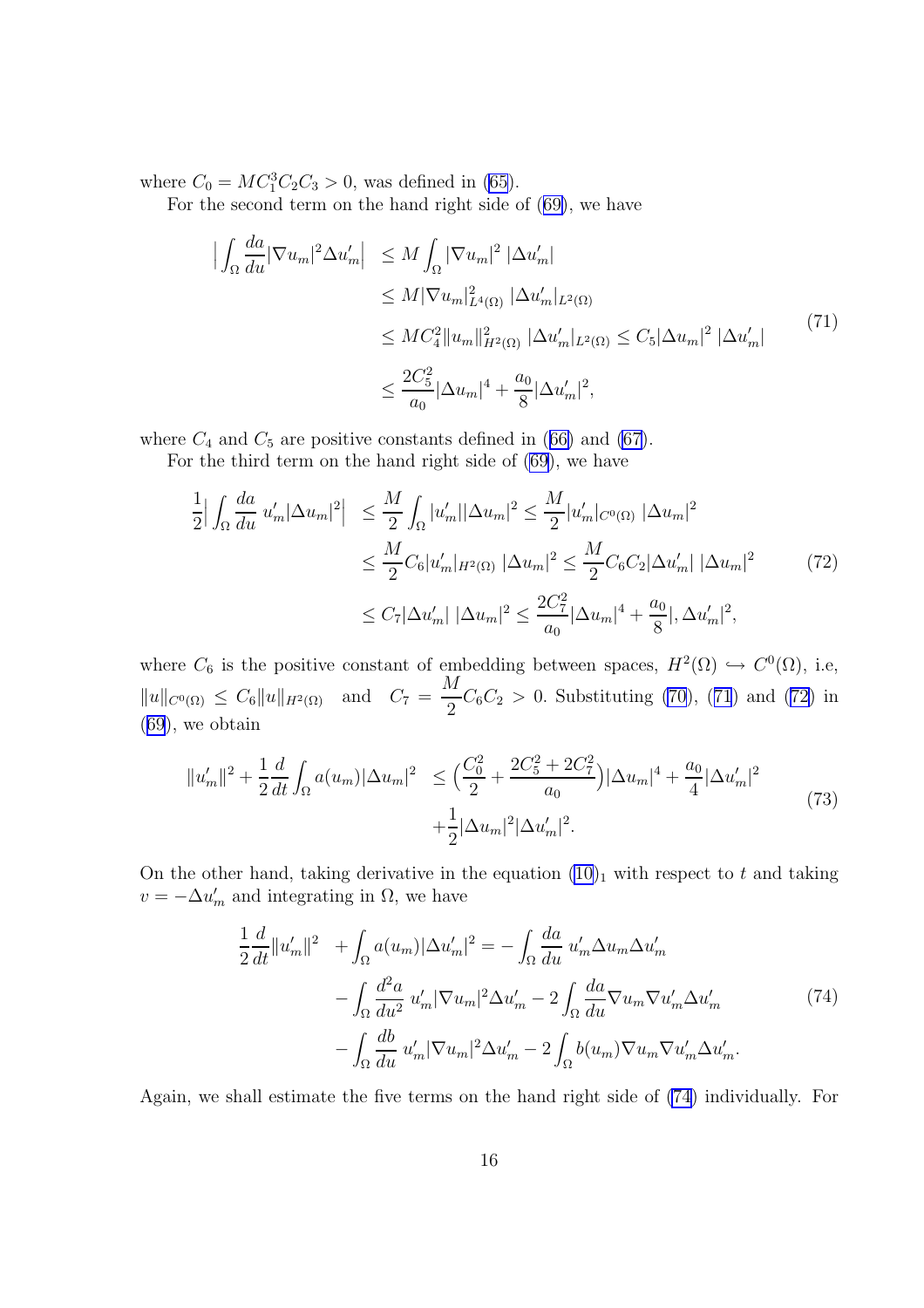<span id="page-15-0"></span>where  $C_0 = MC_1^3C_2C_3 > 0$ , was defined in [\(65](#page-14-0)).

For the second term on the hand right side of ([69\)](#page-14-0), we have

$$
\begin{split}\n\left| \int_{\Omega} \frac{da}{du} |\nabla u_m|^2 \Delta u'_m \right| &\leq M \int_{\Omega} |\nabla u_m|^2 |\Delta u'_m| \\
&\leq M |\nabla u_m|_{L^4(\Omega)}^2 |\Delta u'_m|_{L^2(\Omega)} \\
&\leq M C_4^2 \|u_m\|_{H^2(\Omega)}^2 |\Delta u'_m|_{L^2(\Omega)} \leq C_5 |\Delta u_m|^2 |\Delta u'_m|\n\end{split} \tag{71}
$$
\n
$$
\leq \frac{2C_5^2}{a_0} |\Delta u_m|^4 + \frac{a_0}{8} |\Delta u'_m|^2,
$$

where  $C_4$  and  $C_5$  are positive constants defined in ([66\)](#page-14-0) and [\(67](#page-14-0)).

For the third term on the hand right side of [\(69](#page-14-0)), we have

$$
\frac{1}{2} \left| \int_{\Omega} \frac{da}{du} u'_{m} |\Delta u_{m}|^{2} \right| \leq \frac{M}{2} \int_{\Omega} |u'_{m}| |\Delta u_{m}|^{2} \leq \frac{M}{2} |u'_{m}|_{C^{0}(\Omega)} |\Delta u_{m}|^{2}
$$
  

$$
\leq \frac{M}{2} C_{6} |u'_{m}|_{H^{2}(\Omega)} |\Delta u_{m}|^{2} \leq \frac{M}{2} C_{6} C_{2} |\Delta u'_{m}| |\Delta u_{m}|^{2}
$$
(72)  

$$
\leq C_{7} |\Delta u'_{m}| |\Delta u_{m}|^{2} \leq \frac{2C_{7}^{2}}{a_{0}} |\Delta u_{m}|^{4} + \frac{a_{0}}{8} |, \Delta u'_{m}|^{2},
$$

where  $C_6$  is the positive constant of embedding between spaces,  $H^2(\Omega) \hookrightarrow C^0(\Omega)$ , i.e,  $||u||_{C^{0}(\Omega)} \leq C_{6}||u||_{H^{2}(\Omega)}$  and  $C_{7} =$ M  $\frac{1}{2}C_6C_2 > 0$ . Substituting [\(70](#page-14-0)), (71) and (72) in ([69](#page-14-0)), we obtain

$$
||u'_{m}||^{2} + \frac{1}{2}\frac{d}{dt}\int_{\Omega} a(u_{m})|\Delta u_{m}|^{2} \leq \left(\frac{C_{0}^{2}}{2} + \frac{2C_{5}^{2} + 2C_{7}^{2}}{a_{0}}\right)|\Delta u_{m}|^{4} + \frac{a_{0}}{4}|\Delta u'_{m}|^{2} + \frac{1}{2}|\Delta u_{m}|^{2}|\Delta u'_{m}|^{2}.
$$
\n(73)

On the other hand, taking derivative in the equation  $(10)<sub>1</sub>$  $(10)<sub>1</sub>$  with respect to t and taking  $v = -\Delta u'_m$  and integrating in  $\Omega$ , we have

$$
\frac{1}{2}\frac{d}{dt}\|u'_m\|^2 + \int_{\Omega} a(u_m)|\Delta u'_m|^2 = -\int_{\Omega} \frac{da}{du} u'_m \Delta u_m \Delta u'_m
$$

$$
-\int_{\Omega} \frac{d^2a}{du^2} u'_m |\nabla u_m|^2 \Delta u'_m - 2 \int_{\Omega} \frac{da}{du} \nabla u_m \nabla u'_m \Delta u'_m
$$
(74)
$$
-\int_{\Omega} \frac{db}{du} u'_m |\nabla u_m|^2 \Delta u'_m - 2 \int_{\Omega} b(u_m) \nabla u_m \nabla u'_m \Delta u'_m.
$$

Again, we shall estimate the five terms on the hand right side of (74) individually. For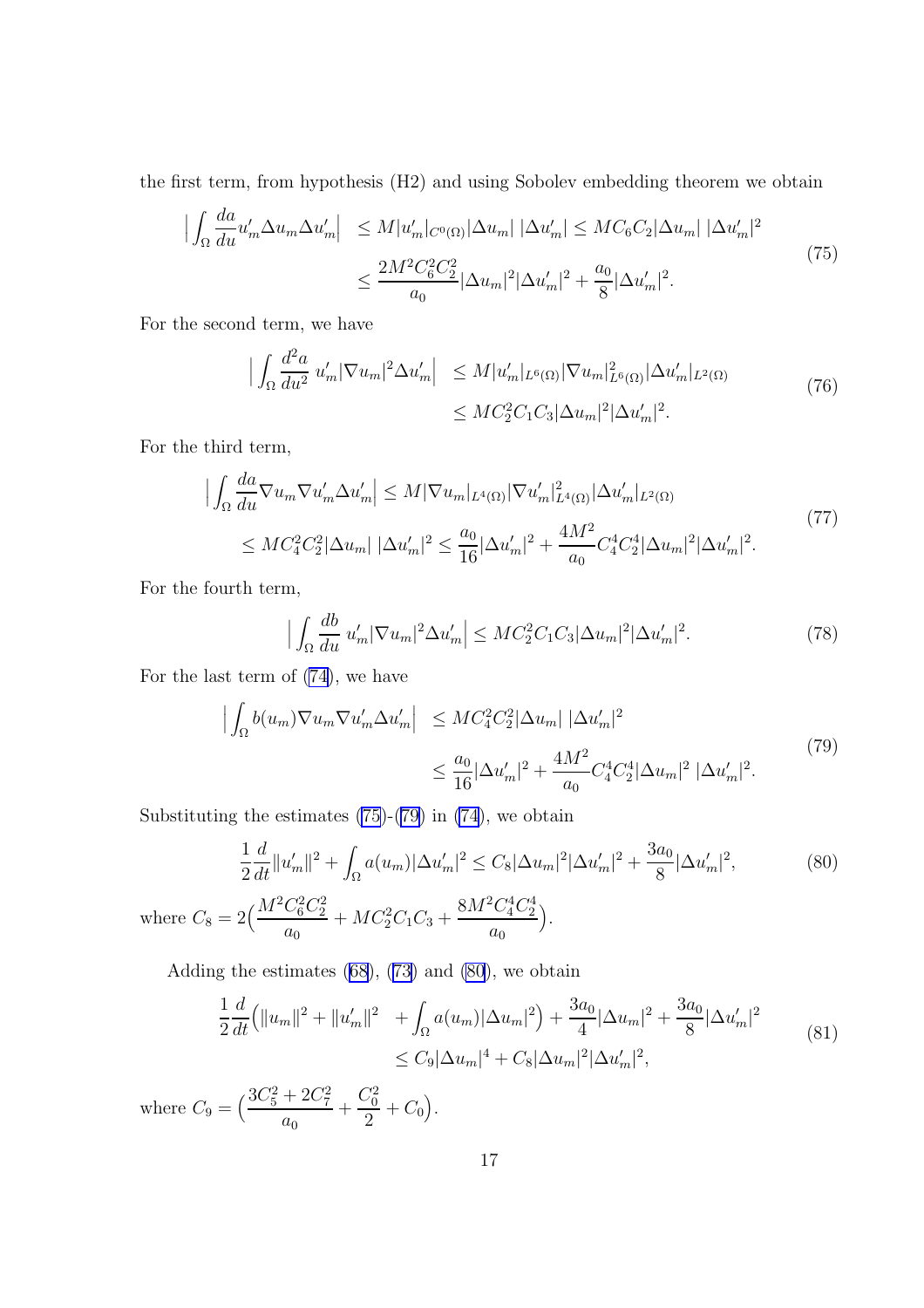<span id="page-16-0"></span>the first term, from hypothesis (H2) and using Sobolev embedding theorem we obtain

$$
\left| \int_{\Omega} \frac{da}{du} u'_{m} \Delta u_{m} \Delta u'_{m} \right| \leq M |u'_{m}|_{C^{0}(\Omega)} |\Delta u_{m}| |\Delta u'_{m}| \leq M C_{6} C_{2} |\Delta u_{m}| |\Delta u'_{m}|^{2} \leq \frac{2M^{2} C_{6}^{2} C_{2}^{2}}{a_{0}} |\Delta u_{m}|^{2} |\Delta u'_{m}|^{2} + \frac{a_{0}}{8} |\Delta u'_{m}|^{2}.
$$
\n(75)

For the second term, we have

$$
\left| \int_{\Omega} \frac{d^2 a}{du^2} u'_m |\nabla u_m|^2 \Delta u'_m \right| \leq M |u'_m|_{L^6(\Omega)} |\nabla u_m|_{L^6(\Omega)}^2 |\Delta u'_m|_{L^2(\Omega)} \leq M C_2^2 C_1 C_3 |\Delta u_m|^2 |\Delta u'_m|^2. \tag{76}
$$

For the third term,

$$
\left| \int_{\Omega} \frac{da}{du} \nabla u_m \nabla u'_m \Delta u'_m \right| \leq M |\nabla u_m|_{L^4(\Omega)} |\nabla u'_m|_{L^4(\Omega)}^2 |\Delta u'_m|_{L^2(\Omega)} \leq M C_4^2 C_2^2 |\Delta u_m| |\Delta u'_m|^2 \leq \frac{a_0}{16} |\Delta u'_m|^2 + \frac{4M^2}{a_0} C_4^4 C_2^4 |\Delta u_m|^2 |\Delta u'_m|^2. \tag{77}
$$

For the fourth term,

$$
\left| \int_{\Omega} \frac{db}{du} u'_m |\nabla u_m|^2 \Delta u'_m \right| \leq MC_2^2 C_1 C_3 |\Delta u_m|^2 |\Delta u'_m|^2. \tag{78}
$$

For the last term of [\(74\)](#page-15-0), we have

$$
\left| \int_{\Omega} b(u_m) \nabla u_m \nabla u'_m \Delta u'_m \right| \leq MC_4^2 C_2^2 |\Delta u_m| |\Delta u'_m|^2
$$
  

$$
\leq \frac{a_0}{16} |\Delta u'_m|^2 + \frac{4M^2}{a_0} C_4^4 C_2^4 |\Delta u_m|^2 |\Delta u'_m|^2.
$$
 (79)

Substituting the estimates  $(75)-(79)$  in  $(74)$  $(74)$ , we obtain

$$
\frac{1}{2}\frac{d}{dt}\|u_m'\|^2 + \int_{\Omega} a(u_m)|\Delta u_m'|^2 \leq C_8|\Delta u_m|^2|\Delta u_m'|^2 + \frac{3a_0}{8}|\Delta u_m'|^2,
$$
\nwhere  $C_8 = 2\Big(\frac{M^2C_6^2C_2^2}{a_0} + MC_2^2C_1C_3 + \frac{8M^2C_4^4C_2^4}{a_0}\Big).$ 

\n(80)

Adding the estimates  $(68)$ ,  $(73)$  and  $(80)$ , we obtain

$$
\frac{1}{2}\frac{d}{dt}\left(\|u_m\|^2 + \|u_m'\|^2 + \int_{\Omega} a(u_m)|\Delta u_m|^2\right) + \frac{3a_0}{4}|\Delta u_m|^2 + \frac{3a_0}{8}|\Delta u_m'|^2
$$
\n
$$
\leq C_9|\Delta u_m|^4 + C_8|\Delta u_m|^2|\Delta u_m'|^2,
$$
\n(81)

where  $C_9 = \left(\frac{3C_5^2 + 2C_7^2}{2}\right)$  $a_0$  $+$  $C_0^2$  $\frac{\sqrt{6}}{2} + C_0$ .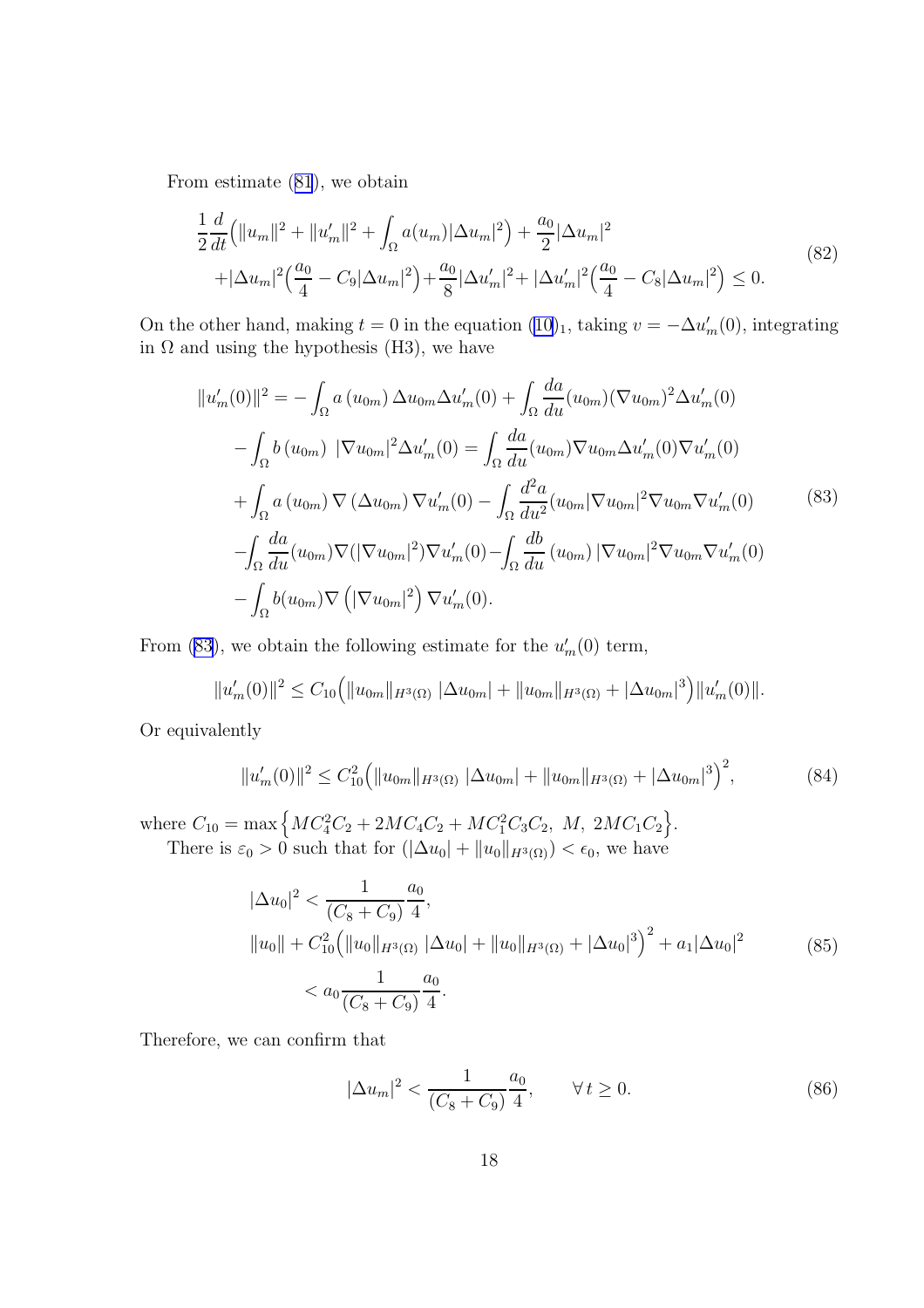<span id="page-17-0"></span>From estimate ([81](#page-16-0)), we obtain

$$
\frac{1}{2}\frac{d}{dt}\left(\|u_m\|^2 + \|u_m'\|^2 + \int_{\Omega} a(u_m)|\Delta u_m|^2\right) + \frac{a_0}{2}|\Delta u_m|^2
$$
\n
$$
+|\Delta u_m|^2 \left(\frac{a_0}{4} - C_9|\Delta u_m|^2\right) + \frac{a_0}{8}|\Delta u_m'|^2 + |\Delta u_m'|^2 \left(\frac{a_0}{4} - C_8|\Delta u_m|^2\right) \le 0.
$$
\n(82)

On the other hand, making  $t = 0$  in the equation  $(10)_1$  $(10)_1$ , taking  $v = -\Delta u'_m(0)$ , integrating in  $\Omega$  and using the hypothesis (H3), we have

$$
||u'_{m}(0)||^{2} = -\int_{\Omega} a (u_{0m}) \Delta u_{0m} \Delta u'_{m}(0) + \int_{\Omega} \frac{da}{du} (u_{0m}) (\nabla u_{0m})^{2} \Delta u'_{m}(0)
$$
  

$$
- \int_{\Omega} b (u_{0m}) |\nabla u_{0m}|^{2} \Delta u'_{m}(0) = \int_{\Omega} \frac{da}{du} (u_{0m}) \nabla u_{0m} \Delta u'_{m}(0) \nabla u'_{m}(0)
$$
  
+ 
$$
\int_{\Omega} a (u_{0m}) \nabla (\Delta u_{0m}) \nabla u'_{m}(0) - \int_{\Omega} \frac{d^{2}a}{du^{2}} (u_{0m} |\nabla u_{0m}|^{2} \nabla u_{0m} \nabla u'_{m}(0)
$$
  
- 
$$
\int_{\Omega} \frac{da}{du} (u_{0m}) \nabla (|\nabla u_{0m}|^{2}) \nabla u'_{m}(0) - \int_{\Omega} \frac{db}{du} (u_{0m}) |\nabla u_{0m}|^{2} \nabla u_{0m} \nabla u'_{m}(0)
$$
  
- 
$$
\int_{\Omega} b (u_{0m}) \nabla (|\nabla u_{0m}|^{2}) \nabla u'_{m}(0).
$$
 (83)

From (83), we obtain the following estimate for the  $u'_m(0)$  term,

$$
||u'_m(0)||^2 \leq C_{10} (||u_{0m}||_{H^3(\Omega)} ||\Delta u_{0m}| + ||u_{0m}||_{H^3(\Omega)} + |\Delta u_{0m}|^3) ||u'_m(0)||.
$$

Or equivalently

$$
||u'_m(0)||^2 \le C_{10}^2 \left( ||u_{0m}||_{H^3(\Omega)} | \Delta u_{0m}| + ||u_{0m}||_{H^3(\Omega)} + |\Delta u_{0m}|^3 \right)^2, \tag{84}
$$

where  $C_{10} = \max \left\{ MC_4^2C_2 + 2MC_4C_2 + MC_1^2C_3C_2, M, 2MC_1C_2 \right\}$ . There is  $\varepsilon_0 > 0$  such that for  $(|\Delta u_0| + ||u_0||_{H^3(\Omega)}) < \epsilon_0$ , we have

$$
|\Delta u_0|^2 < \frac{1}{(C_8 + C_9)} \frac{a_0}{4},
$$
\n
$$
||u_0|| + C_{10}^2 \left( ||u_0||_{H^3(\Omega)} \left| \Delta u_0 \right| + ||u_0||_{H^3(\Omega)} + |\Delta u_0|^3 \right)^2 + a_1 |\Delta u_0|^2
$$
\n
$$
\leq a_0 \frac{1}{(C_8 + C_9)} \frac{a_0}{4}.
$$
\n
$$
(85)
$$

Therefore, we can confirm that

$$
|\Delta u_m|^2 < \frac{1}{(C_8 + C_9)} \frac{a_0}{4}, \qquad \forall \, t \ge 0. \tag{86}
$$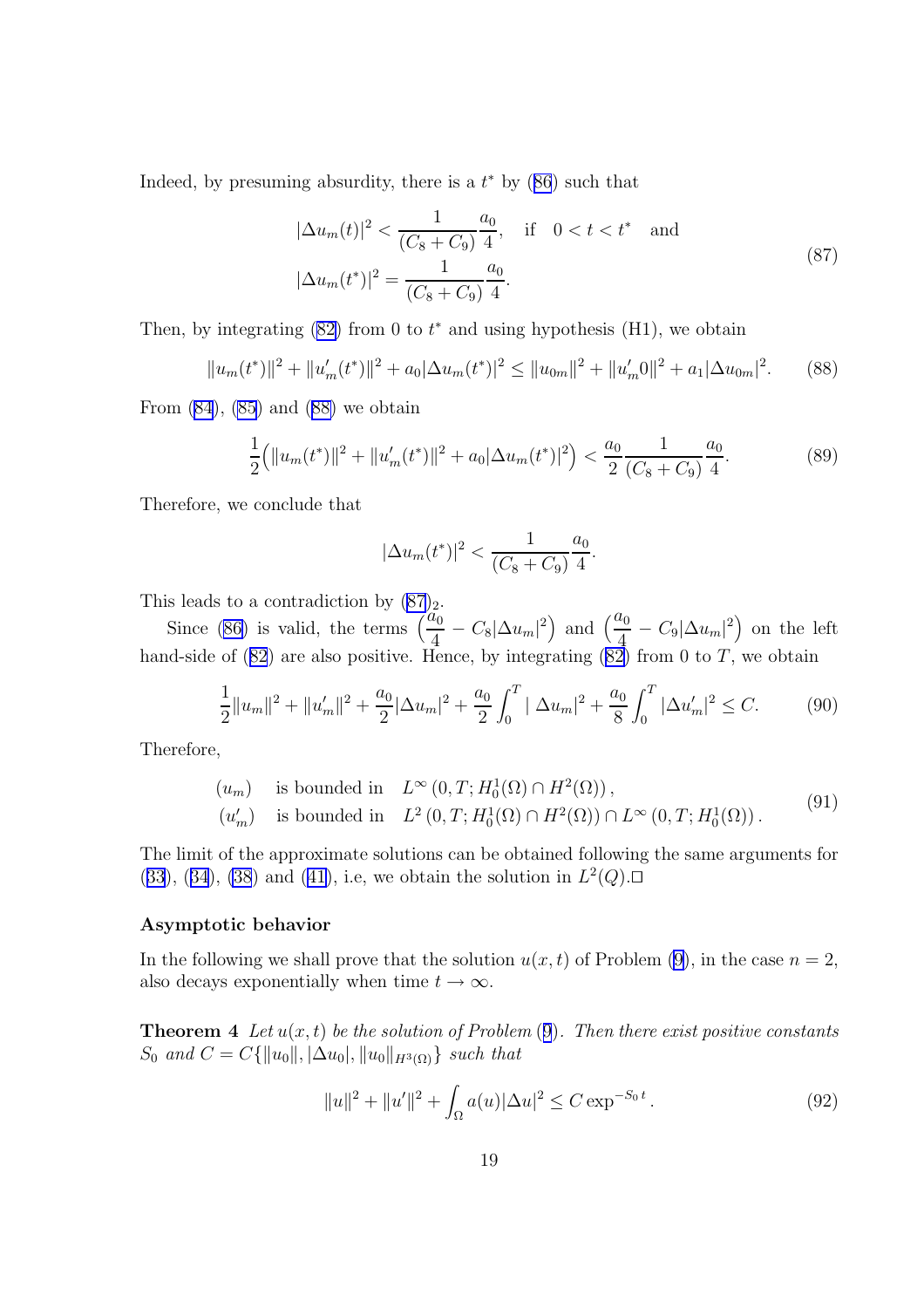Indeed, by presuming absurdity, there is a  $t^*$  by  $(86)$  $(86)$  $(86)$  such that

$$
|\Delta u_m(t)|^2 < \frac{1}{(C_8 + C_9)} \frac{a_0}{4}, \quad \text{if} \quad 0 < t < t^* \quad \text{and}
$$
\n
$$
|\Delta u_m(t^*)|^2 = \frac{1}{(C_8 + C_9)} \frac{a_0}{4}.\tag{87}
$$

Then, by integrating  $(82)$  from 0 to  $t^*$  and using hypothesis  $(H1)$ , we obtain

$$
||u_m(t^*)||^2 + ||u'_m(t^*)||^2 + a_0|\Delta u_m(t^*)|^2 \le ||u_{0m}||^2 + ||u'_m0||^2 + a_1|\Delta u_{0m}|^2. \tag{88}
$$

From  $(84)$  $(84)$ ,  $(85)$  $(85)$  and  $(88)$  we obtain

$$
\frac{1}{2} (||u_m(t^*)||^2 + ||u_m'(t^*)||^2 + a_0|\Delta u_m(t^*)|^2) < \frac{a_0}{2} \frac{1}{(C_8 + C_9)} \frac{a_0}{4}.\tag{89}
$$

Therefore, we conclude that

$$
|\Delta u_m(t^*)|^2 < \frac{1}{(C_8 + C_9)} \frac{a_0}{4}.
$$

This leads to a contradiction by  $(87)_2$ .

Since [\(86\)](#page-17-0) is valid, the terms  $\frac{a_0}{4}$  $\frac{\tilde{u_0}}{4} - C_8 |\Delta u_m|^2$  and  $\left(\frac{a_0}{4}\right)$  $\frac{u_0}{4} - C_9 |\Delta u_m|^2$  on the left hand-side of  $(82)$  $(82)$  $(82)$  are also positive. Hence, by integrating  $(82)$  from 0 to T, we obtain

$$
\frac{1}{2}||u_m||^2 + ||u'_m||^2 + \frac{a_0}{2}|\Delta u_m|^2 + \frac{a_0}{2}\int_0^T |\Delta u_m|^2 + \frac{a_0}{8}\int_0^T |\Delta u'_m|^2 \le C. \tag{90}
$$

Therefore,

$$
(u_m) \text{ is bounded in } L^{\infty}(0,T; H_0^1(\Omega) \cap H^2(\Omega)),(u'_m) \text{ is bounded in } L^2(0,T; H_0^1(\Omega) \cap H^2(\Omega)) \cap L^{\infty}(0,T; H_0^1(\Omega)).
$$
\n
$$
(91)
$$

The limit of the approximate solutions can be obtained following the same arguments for  $(33), (34), (38)$  $(33), (34), (38)$  $(33), (34), (38)$  $(33), (34), (38)$  $(33), (34), (38)$  $(33), (34), (38)$  $(33), (34), (38)$  and  $(41),$  $(41),$  i.e, we obtain the solution in  $L<sup>2</sup>(Q)$ .

#### Asymptotic behavior

In the following we shall prove that the solution  $u(x, t)$  of Problem [\(9](#page-3-0)), in the case  $n = 2$ , also decays exponentially when time  $t \to \infty$ .

**Theorem 4** Let  $u(x, t)$  be the solution of Problem  $(9)$  $(9)$  $(9)$ . Then there exist positive constants  $S_0$  and  $C = C{\|u_0\|, |\Delta u_0|, \|u_0\|_{H^3(\Omega)}}\}$  such that

$$
||u||^{2} + ||u'||^{2} + \int_{\Omega} a(u)|\Delta u|^{2} \leq C \exp^{-S_{0}t}.
$$
\n(92)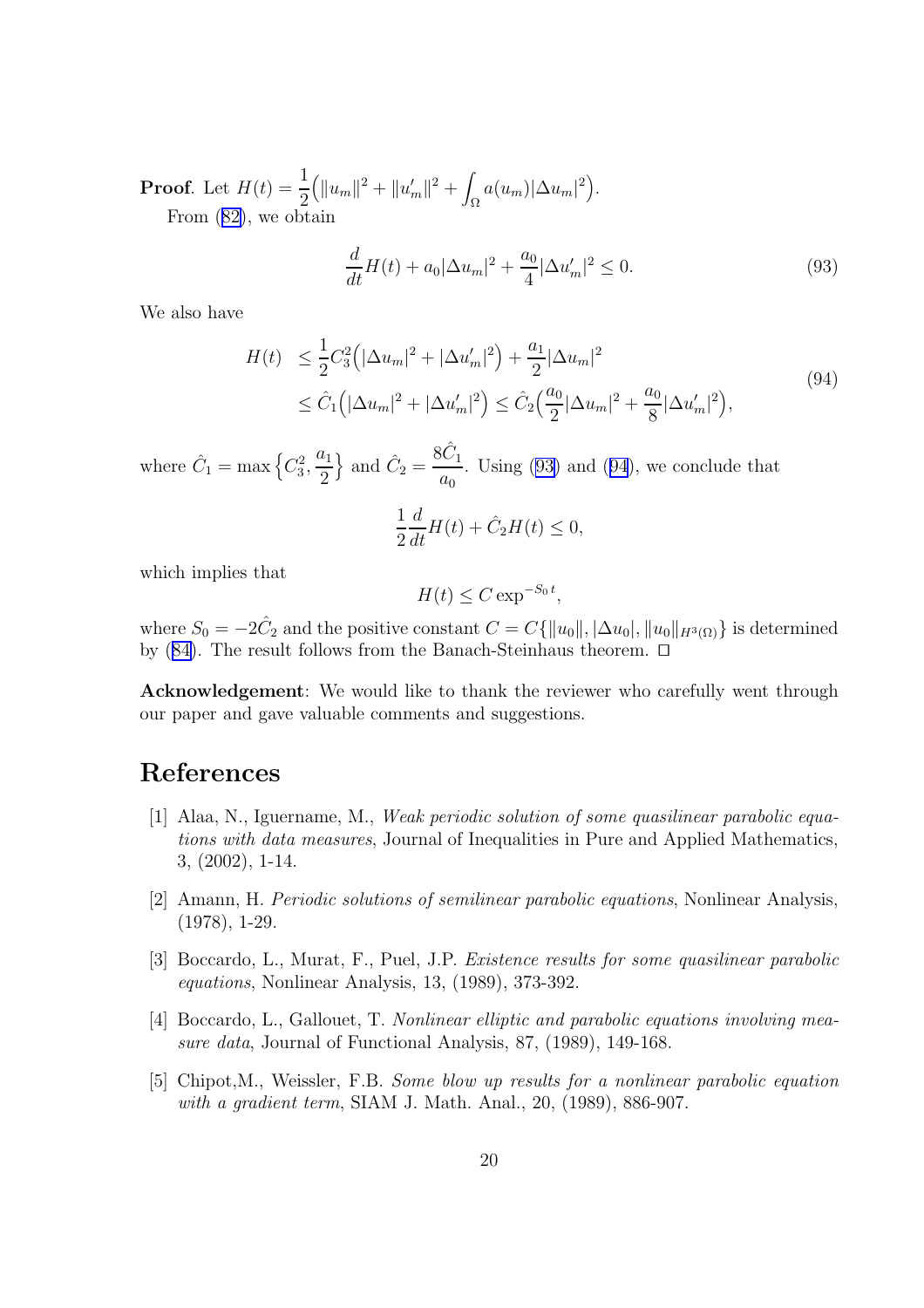<span id="page-19-0"></span>**Proof.** Let  $H(t) = \frac{1}{2}$ 2  $\left( \|u_m\|^2 + \|u'_m\|^2 + \right)$  $\int_{\Omega}a(u_m)|\Delta u_m|^2\Big).$ From ([82\)](#page-17-0), we obtain

$$
\frac{d}{dt}H(t) + a_0|\Delta u_m|^2 + \frac{a_0}{4}|\Delta u'_m|^2 \le 0.
$$
\n(93)

We also have

$$
H(t) \leq \frac{1}{2} C_3^2 \left( |\Delta u_m|^2 + |\Delta u'_m|^2 \right) + \frac{a_1}{2} |\Delta u_m|^2
$$
  
 
$$
\leq \hat{C}_1 \left( |\Delta u_m|^2 + |\Delta u'_m|^2 \right) \leq \hat{C}_2 \left( \frac{a_0}{2} |\Delta u_m|^2 + \frac{a_0}{8} |\Delta u'_m|^2 \right), \tag{94}
$$

where  $\hat{C}_1 = \max \left\{ C_3^2, \frac{a_1}{2} \right\}$ 2 } and  $\hat{C}_2 =$  $8\hat{C}_1$  $a_0$ . Using (93) and (94), we conclude that

$$
\frac{1}{2}\frac{d}{dt}H(t) + \hat{C}_2H(t) \le 0,
$$

which implies that

$$
H(t) \leq C \exp^{-S_0 t},
$$

where  $S_0 = -2\hat{C}_2$  and the positive constant  $C = C\{\|u_0\|, |\Delta u_0|, \|u_0\|_{H^3(\Omega)}\}$  is determined by  $(84)$  $(84)$ . The result follows from the Banach-Steinhaus theorem.  $\Box$ 

Acknowledgement: We would like to thank the reviewer who carefully went through our paper and gave valuable comments and suggestions.

## References

- [1] Alaa, N., Iguername, M., Weak periodic solution of some quasilinear parabolic equations with data measures, Journal of Inequalities in Pure and Applied Mathematics, 3, (2002), 1-14.
- [2] Amann, H. Periodic solutions of semilinear parabolic equations, Nonlinear Analysis, (1978), 1-29.
- [3] Boccardo, L., Murat, F., Puel, J.P. Existence results for some quasilinear parabolic equations, Nonlinear Analysis, 13, (1989), 373-392.
- [4] Boccardo, L., Gallouet, T. Nonlinear elliptic and parabolic equations involving measure data, Journal of Functional Analysis, 87, (1989), 149-168.
- [5] Chipot,M., Weissler, F.B. Some blow up results for a nonlinear parabolic equation with a gradient term, SIAM J. Math. Anal., 20, (1989), 886-907.